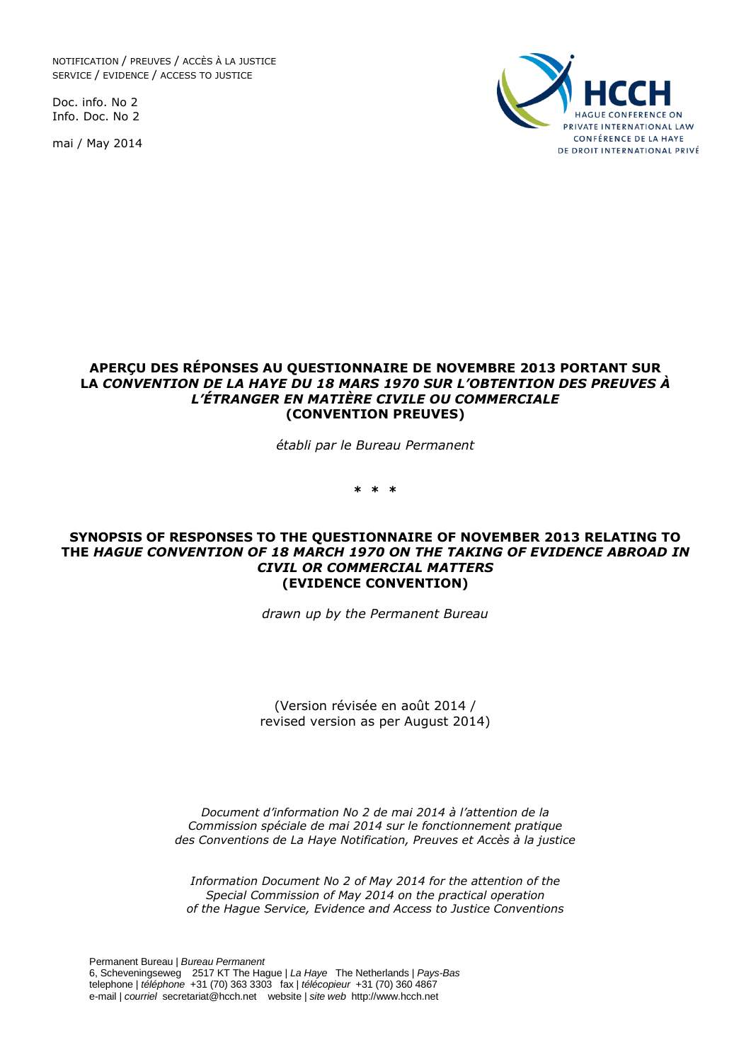NOTIFICATION / PREUVES / ACCÈS À LA JUSTICE SERVICE / EVIDENCE / ACCESS TO JUSTICE

Doc. info. No 2 Info. Doc. No 2

mai / May 2014



#### **APERÇU DES RÉPONSES AU QUESTIONNAIRE DE NOVEMBRE 2013 PORTANT SUR LA** *CONVENTION DE LA HAYE DU 18 MARS 1970 SUR L'OBTENTION DES PREUVES À L'ÉTRANGER EN MATIÈRE CIVILE OU COMMERCIALE* **(CONVENTION PREUVES)**

*établi par le Bureau Permanent*

**\* \* \***

#### **SYNOPSIS OF RESPONSES TO THE QUESTIONNAIRE OF NOVEMBER 2013 RELATING TO THE** *HAGUE CONVENTION OF 18 MARCH 1970 ON THE TAKING OF EVIDENCE ABROAD IN CIVIL OR COMMERCIAL MATTERS* **(EVIDENCE CONVENTION)**

*drawn up by the Permanent Bureau*

(Version révisée en août 2014 / revised version as per August 2014)

*Document d'information No 2 de mai 2014 à l'attention de la Commission spéciale de mai 2014 sur le fonctionnement pratique des Conventions de La Haye Notification, Preuves et Accès à la justice*

*Information Document No 2 of May 2014 for the attention of the Special Commission of May 2014 on the practical operation of the Hague Service, Evidence and Access to Justice Conventions*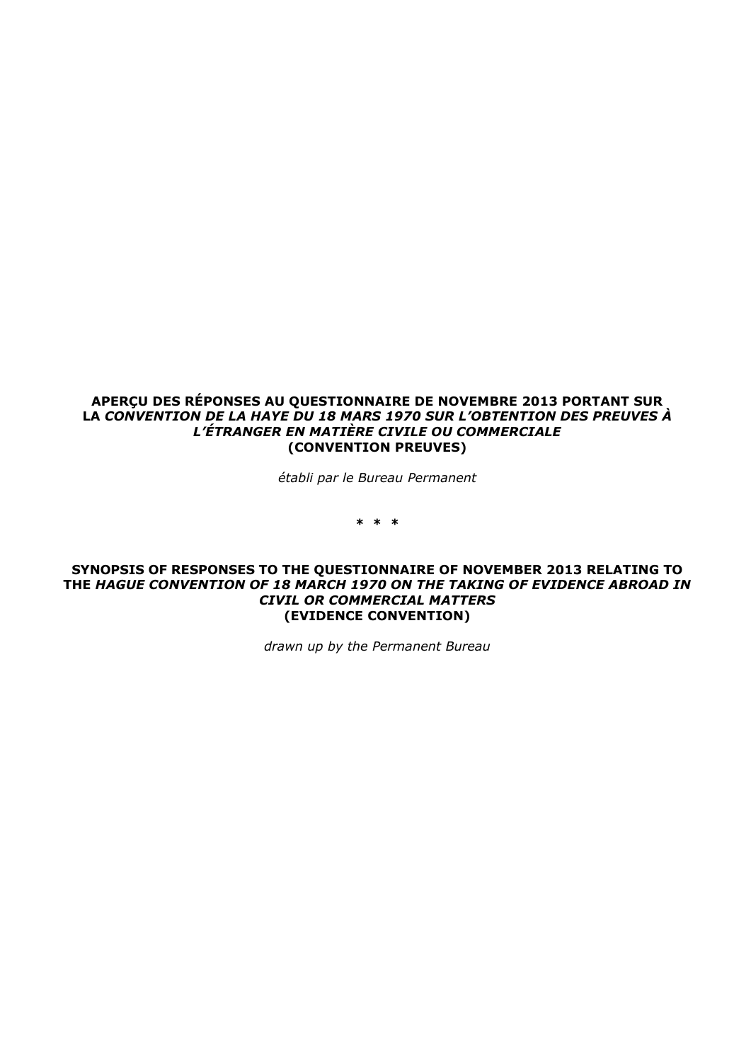#### **APERÇU DES RÉPONSES AU QUESTIONNAIRE DE NOVEMBRE 2013 PORTANT SUR LA** *CONVENTION DE LA HAYE DU 18 MARS 1970 SUR L'OBTENTION DES PREUVES À L'ÉTRANGER EN MATIÈRE CIVILE OU COMMERCIALE* **(CONVENTION PREUVES)**

*établi par le Bureau Permanent*

**\* \* \***

#### **SYNOPSIS OF RESPONSES TO THE QUESTIONNAIRE OF NOVEMBER 2013 RELATING TO THE** *HAGUE CONVENTION OF 18 MARCH 1970 ON THE TAKING OF EVIDENCE ABROAD IN CIVIL OR COMMERCIAL MATTERS* **(EVIDENCE CONVENTION)**

*drawn up by the Permanent Bureau*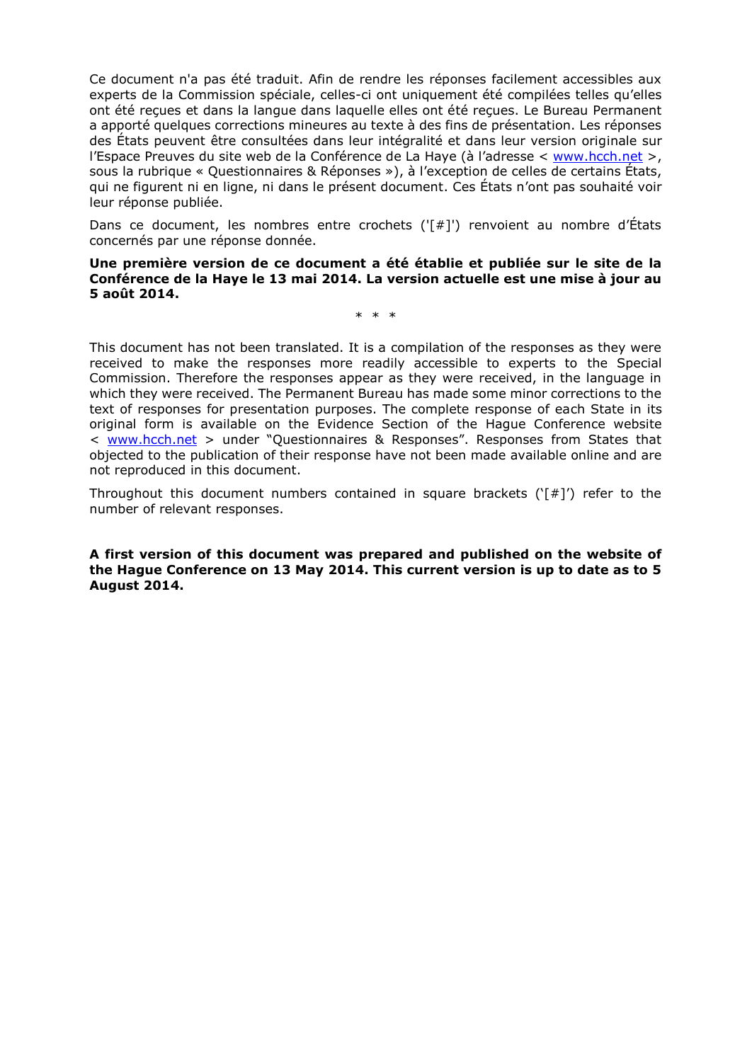Ce document n'a pas été traduit. Afin de rendre les réponses facilement accessibles aux experts de la Commission spéciale, celles-ci ont uniquement été compilées telles qu'elles ont été reçues et dans la langue dans laquelle elles ont été reçues. Le Bureau Permanent a apporté quelques corrections mineures au texte à des fins de présentation. Les réponses des États peuvent être consultées dans leur intégralité et dans leur version originale sur l'Espace Preuves du site web de la Conférence de La Haye (à l'adresse < [www.hcch.net](http://www.hcch.net/) >, sous la rubrique « Questionnaires & Réponses »), à l'exception de celles de certains États, qui ne figurent ni en ligne, ni dans le présent document. Ces États n'ont pas souhaité voir leur réponse publiée.

Dans ce document, les nombres entre crochets ('[#]') renvoient au nombre d'États concernés par une réponse donnée.

**Une première version de ce document a été établie et publiée sur le site de la Conférence de la Haye le 13 mai 2014. La version actuelle est une mise à jour au 5 août 2014.**

\* \* \*

This document has not been translated. It is a compilation of the responses as they were received to make the responses more readily accessible to experts to the Special Commission. Therefore the responses appear as they were received, in the language in which they were received. The Permanent Bureau has made some minor corrections to the text of responses for presentation purposes. The complete response of each State in its original form is available on the Evidence Section of the Hague Conference website < [www.hcch.net](http://www.hcch.net/) > under "Questionnaires & Responses". Responses from States that objected to the publication of their response have not been made available online and are not reproduced in this document.

Throughout this document numbers contained in square brackets  $(\ulcorner \# \urcorner')$  refer to the number of relevant responses.

**A first version of this document was prepared and published on the website of the Hague Conference on 13 May 2014. This current version is up to date as to 5 August 2014.**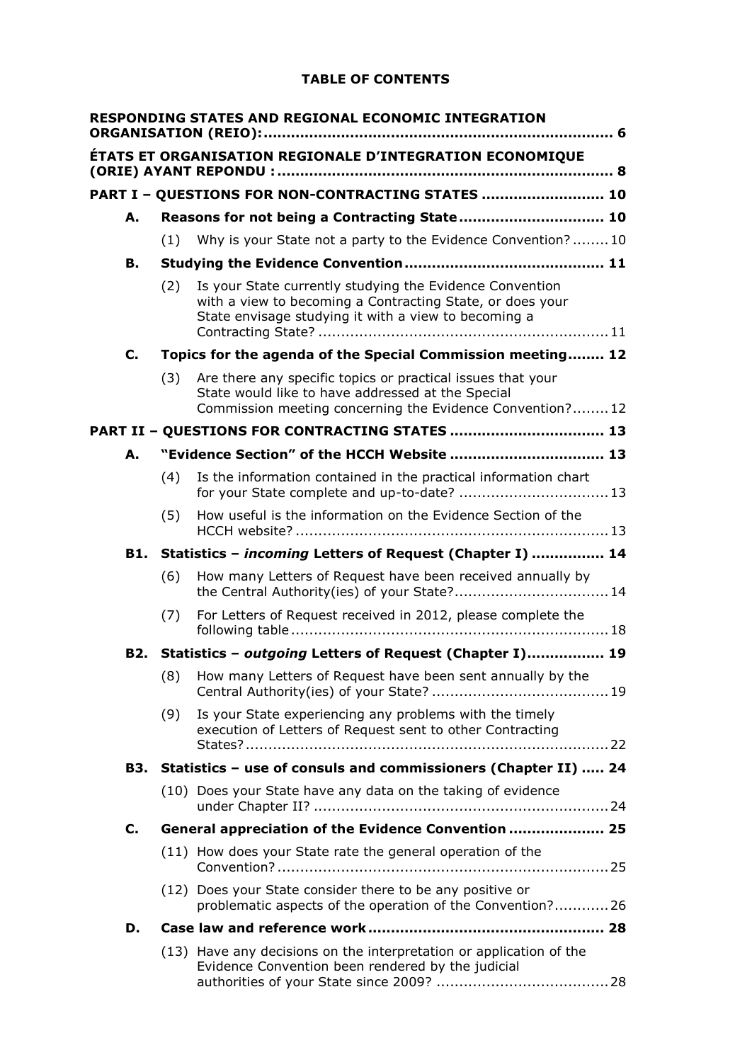# **TABLE OF CONTENTS**

|     |                                              | RESPONDING STATES AND REGIONAL ECONOMIC INTEGRATION                                                                                                                           |  |
|-----|----------------------------------------------|-------------------------------------------------------------------------------------------------------------------------------------------------------------------------------|--|
|     |                                              | ÉTATS ET ORGANISATION REGIONALE D'INTEGRATION ECONOMIQUE                                                                                                                      |  |
|     |                                              | PART I - QUESTIONS FOR NON-CONTRACTING STATES  10                                                                                                                             |  |
| А.  | Reasons for not being a Contracting State 10 |                                                                                                                                                                               |  |
|     | (1)                                          | Why is your State not a party to the Evidence Convention?10                                                                                                                   |  |
| В.  |                                              |                                                                                                                                                                               |  |
|     | (2)                                          | Is your State currently studying the Evidence Convention<br>with a view to becoming a Contracting State, or does your<br>State envisage studying it with a view to becoming a |  |
| C.  |                                              | Topics for the agenda of the Special Commission meeting 12                                                                                                                    |  |
|     | (3)                                          | Are there any specific topics or practical issues that your<br>State would like to have addressed at the Special<br>Commission meeting concerning the Evidence Convention?12  |  |
|     |                                              | PART II - QUESTIONS FOR CONTRACTING STATES  13                                                                                                                                |  |
| А.  |                                              | "Evidence Section" of the HCCH Website  13                                                                                                                                    |  |
|     | (4)                                          | Is the information contained in the practical information chart                                                                                                               |  |
|     | (5)                                          | How useful is the information on the Evidence Section of the                                                                                                                  |  |
| B1. |                                              | Statistics - incoming Letters of Request (Chapter I)  14                                                                                                                      |  |
|     | (6)                                          | How many Letters of Request have been received annually by<br>the Central Authority(ies) of your State? 14                                                                    |  |
|     | (7)                                          | For Letters of Request received in 2012, please complete the                                                                                                                  |  |
|     |                                              | B2. Statistics - outgoing Letters of Request (Chapter I) 19                                                                                                                   |  |
|     |                                              | (8) How many Letters of Request have been sent annually by the                                                                                                                |  |
|     | (9)                                          | Is your State experiencing any problems with the timely<br>execution of Letters of Request sent to other Contracting                                                          |  |
|     |                                              | B3. Statistics - use of consuls and commissioners (Chapter II)  24                                                                                                            |  |
|     |                                              | (10) Does your State have any data on the taking of evidence                                                                                                                  |  |
| C.  |                                              | General appreciation of the Evidence Convention  25                                                                                                                           |  |
|     |                                              | (11) How does your State rate the general operation of the                                                                                                                    |  |
|     |                                              | (12) Does your State consider there to be any positive or<br>problematic aspects of the operation of the Convention? 26                                                       |  |
| D.  |                                              |                                                                                                                                                                               |  |
|     |                                              | (13) Have any decisions on the interpretation or application of the<br>Evidence Convention been rendered by the judicial                                                      |  |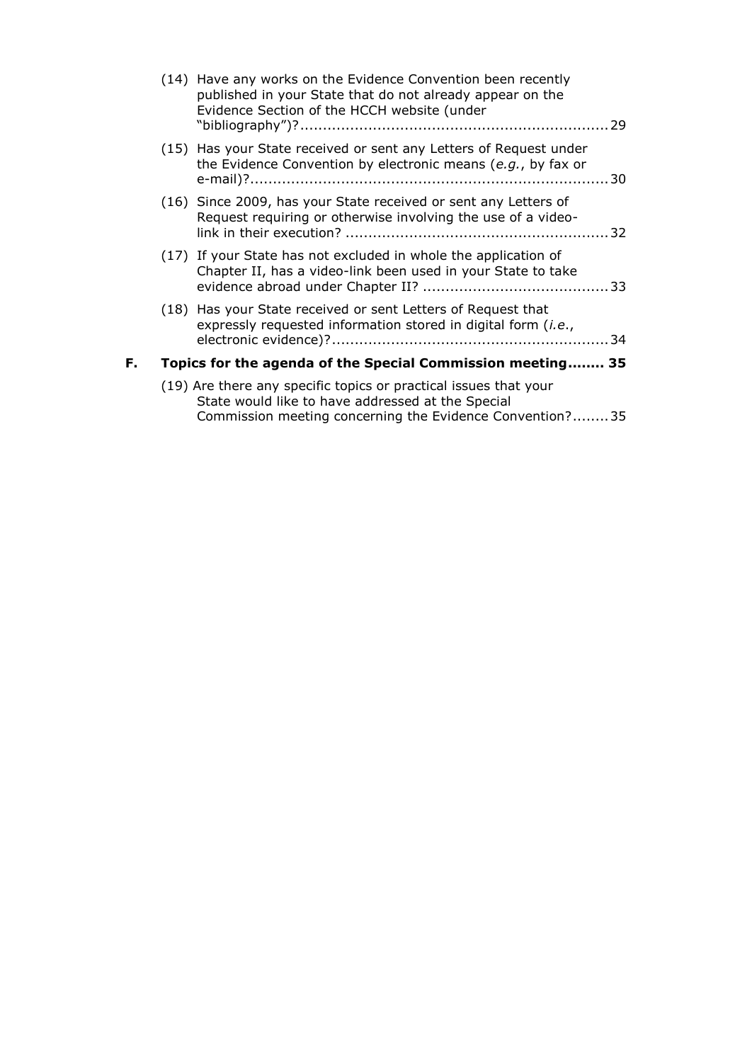|    | (14) Have any works on the Evidence Convention been recently<br>published in your State that do not already appear on the<br>Evidence Section of the HCCH website (under |     |
|----|--------------------------------------------------------------------------------------------------------------------------------------------------------------------------|-----|
|    | (15) Has your State received or sent any Letters of Request under<br>the Evidence Convention by electronic means (e.g., by fax or                                        |     |
|    | (16) Since 2009, has your State received or sent any Letters of<br>Request requiring or otherwise involving the use of a video-                                          |     |
|    | (17) If your State has not excluded in whole the application of<br>Chapter II, has a video-link been used in your State to take                                          |     |
|    | (18) Has your State received or sent Letters of Request that<br>expressly requested information stored in digital form (i.e.,                                            | -34 |
| F. | Topics for the agenda of the Special Commission meeting 35                                                                                                               |     |
|    | (19) Are there any specific topics or practical issues that your<br>State would like to have addressed at the Special                                                    |     |

[Commission meeting concerning the Evidence Convention?........35](#page-34-1)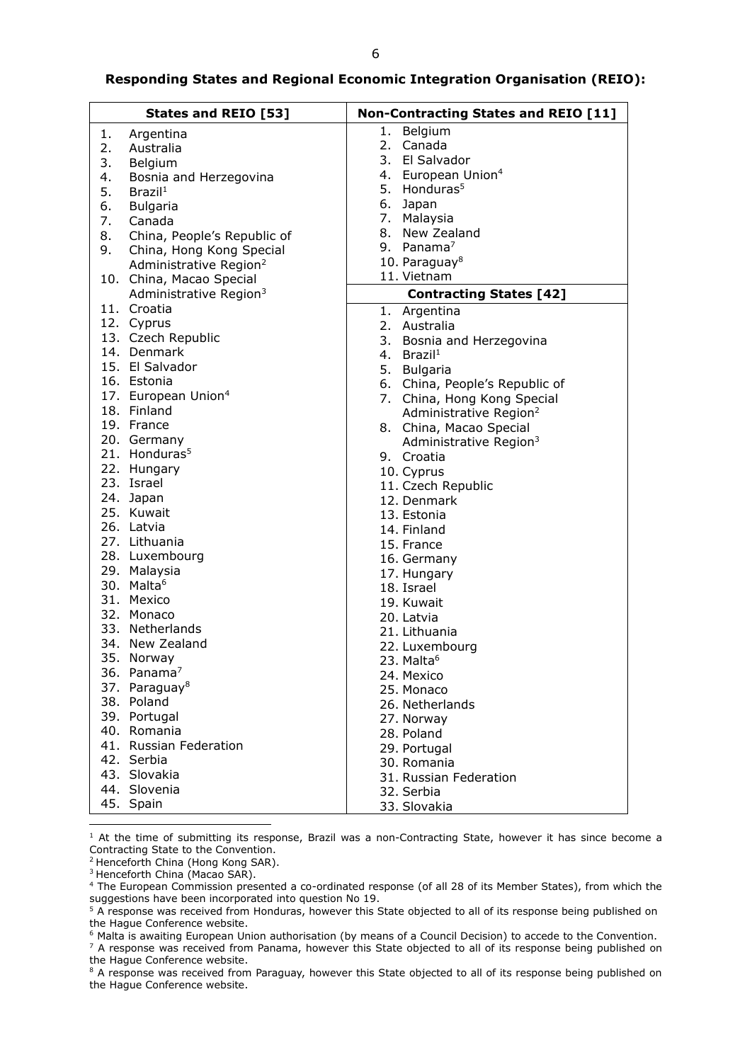#### <span id="page-5-0"></span>**Responding States and Regional Economic Integration Organisation (REIO):**

|    | <b>States and REIO [53]</b>        | <b>Non-Contracting States and REIO [11]</b> |
|----|------------------------------------|---------------------------------------------|
| 1. | Argentina                          | 1. Belgium                                  |
| 2. | Australia                          | 2. Canada                                   |
| 3. | Belgium                            | 3. El Salvador                              |
| 4. | Bosnia and Herzegovina             | 4. European Union <sup>4</sup>              |
| 5. | Brazil <sup>1</sup>                | 5. Honduras <sup>5</sup>                    |
| 6. | <b>Bulgaria</b>                    | 6. Japan                                    |
| 7. | Canada                             | 7. Malaysia                                 |
| 8. | China, People's Republic of        | 8. New Zealand                              |
| 9. |                                    | 9. Panama $^7$                              |
|    | China, Hong Kong Special           | 10. Paraguay <sup>8</sup>                   |
|    | Administrative Region <sup>2</sup> | 11. Vietnam                                 |
|    | 10. China, Macao Special           |                                             |
|    | Administrative Region <sup>3</sup> | <b>Contracting States [42]</b>              |
|    | 11. Croatia                        | 1. Argentina                                |
|    | 12. Cyprus                         | 2. Australia                                |
|    | 13. Czech Republic                 | 3. Bosnia and Herzegovina                   |
|    | 14. Denmark                        | 4. Brazil <sup>1</sup>                      |
|    | 15. El Salvador                    | 5. Bulgaria                                 |
|    | 16. Estonia                        | 6. China, People's Republic of              |
|    | 17. European Union <sup>4</sup>    | 7. China, Hong Kong Special                 |
|    | 18. Finland                        | Administrative Region <sup>2</sup>          |
|    | 19. France                         | 8. China, Macao Special                     |
|    | 20. Germany                        | Administrative Region <sup>3</sup>          |
|    | 21. Honduras <sup>5</sup>          | 9. Croatia                                  |
|    | 22. Hungary                        | 10. Cyprus                                  |
|    | 23. Israel                         | 11. Czech Republic                          |
|    | 24. Japan                          | 12. Denmark                                 |
|    | 25. Kuwait                         | 13. Estonia                                 |
|    | 26. Latvia                         | 14. Finland                                 |
|    | 27. Lithuania                      | 15. France                                  |
|    | 28. Luxembourg                     | 16. Germany                                 |
|    | 29. Malaysia                       | 17. Hungary                                 |
|    | 30. Malta <sup>6</sup>             | 18. Israel                                  |
|    | 31. Mexico                         | 19. Kuwait                                  |
|    | 32. Monaco                         | 20. Latvia                                  |
|    | 33. Netherlands                    | 21. Lithuania                               |
|    | 34. New Zealand                    | 22. Luxembourg                              |
|    | 35. Norway                         | 23. Malta <sup>6</sup>                      |
|    | 36. Panama $'$                     | 24. Mexico                                  |
|    | 37. Paraguay <sup>8</sup>          |                                             |
|    | 38. Poland                         | 25. Monaco                                  |
|    | 39. Portugal                       | 26. Netherlands                             |
|    | 40. Romania                        | 27. Norway                                  |
|    | 41. Russian Federation             | 28. Poland                                  |
|    |                                    | 29. Portugal                                |
|    | 42. Serbia                         | 30. Romania                                 |
|    | 43. Slovakia                       | 31. Russian Federation                      |
|    | 44. Slovenia                       | 32. Serbia                                  |
|    | 45. Spain                          | 33. Slovakia                                |

<sup>1</sup> At the time of submitting its response, Brazil was a non-Contracting State, however it has since become a Contracting State to the Convention.

<sup>2</sup> Henceforth China (Hong Kong SAR).

<sup>3</sup> Henceforth China (Macao SAR).

-

<sup>6</sup> Malta is awaiting European Union authorisation (by means of a Council Decision) to accede to the Convention.

- <sup>7</sup> A response was received from Panama, however this State objected to all of its response being published on the Hague Conference website.
- <sup>8</sup> A response was received from Paraguay, however this State objected to all of its response being published on the Hague Conference website.

<sup>4</sup> The European Commission presented a co-ordinated response (of all 28 of its Member States), from which the suggestions have been incorporated into question No 19.

<sup>&</sup>lt;sup>5</sup> A response was received from Honduras, however this State objected to all of its response being published on the Hague Conference website.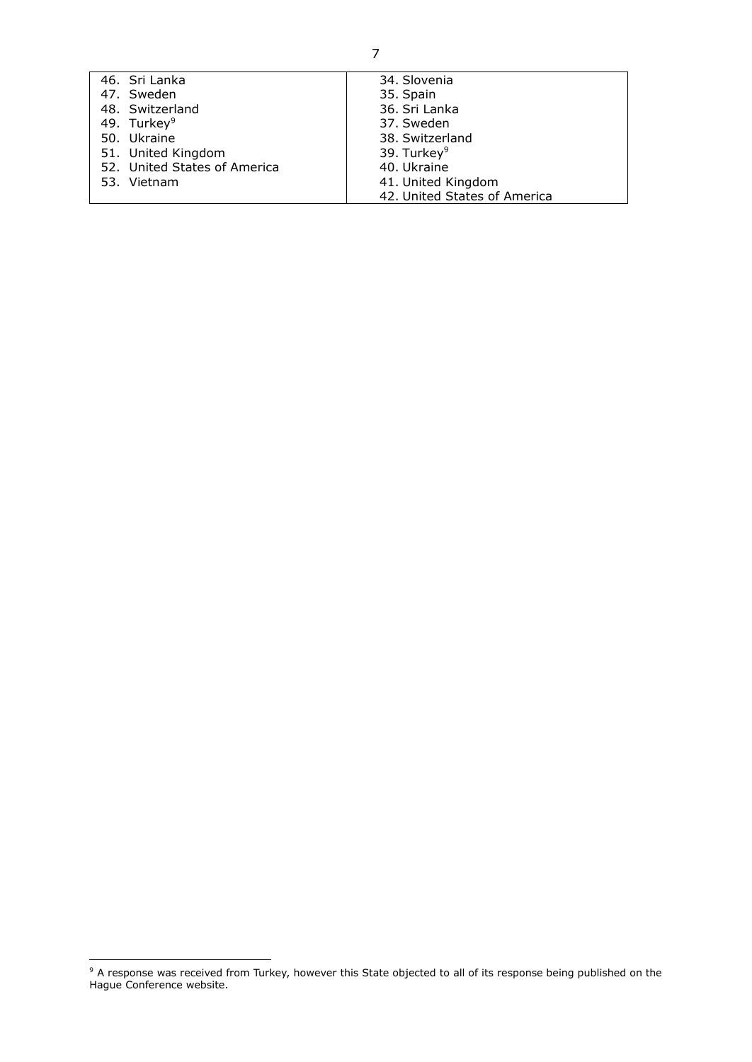<span id="page-6-0"></span>

| 46. Sri Lanka                | 34. Slovenia                 |
|------------------------------|------------------------------|
| 47. Sweden                   | 35. Spain                    |
| 48. Switzerland              | 36. Sri Lanka                |
| 49. Turkey <sup>9</sup>      | 37. Sweden                   |
| 50. Ukraine                  | 38. Switzerland              |
| 51. United Kingdom           | 39. Turkey <sup>9</sup>      |
| 52. United States of America | 40. Ukraine                  |
| 53. Vietnam                  | 41. United Kingdom           |
|                              | 42. United States of America |

-

 $9$  A response was received from Turkey, however this State objected to all of its response being published on the Hague Conference website.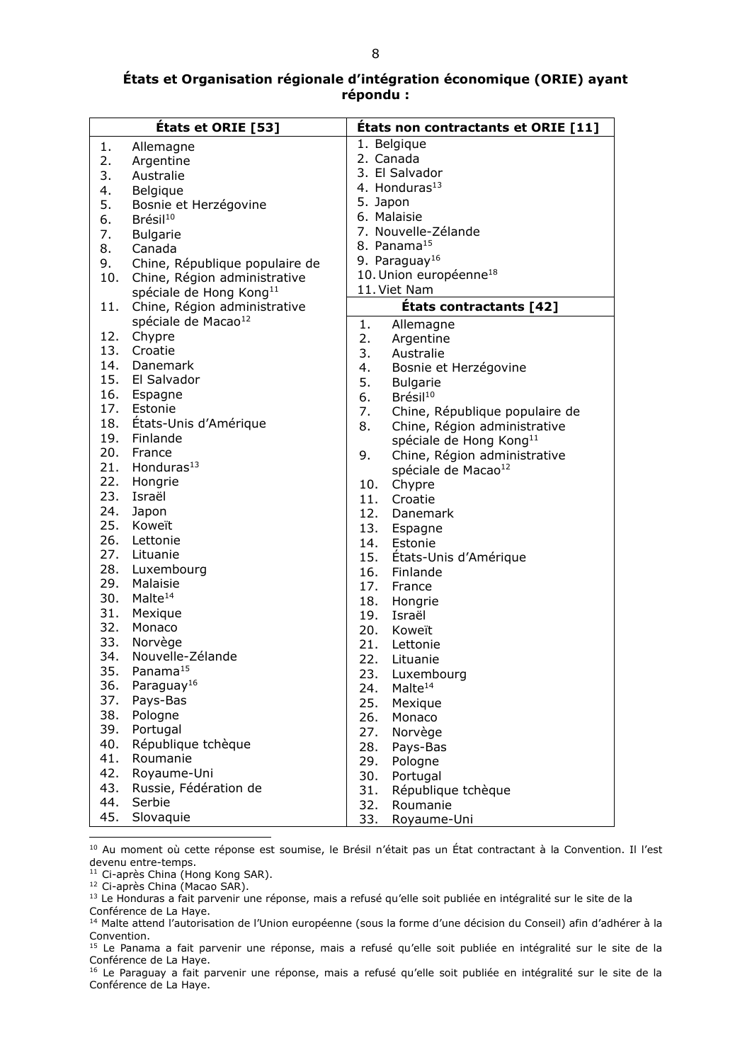### **États et Organisation régionale d'intégration économique (ORIE) ayant répondu :**

|     | États et ORIE [53]                  |            | Etats non contractants et ORIE [11] |
|-----|-------------------------------------|------------|-------------------------------------|
| 1.  | Allemagne                           |            | 1. Belgique                         |
| 2.  | Argentine                           |            | 2. Canada                           |
| 3.  | Australie                           |            | 3. El Salvador                      |
| 4.  | Belgique                            |            | 4. Honduras <sup>13</sup>           |
| 5.  | Bosnie et Herzégovine               | 5. Japon   |                                     |
| 6.  | Brésil <sup>10</sup>                |            | 6. Malaisie                         |
| 7.  | <b>Bulgarie</b>                     |            | 7. Nouvelle-Zélande                 |
| 8.  | Canada                              |            | 8. Panama <sup>15</sup>             |
| 9.  | Chine, République populaire de      |            | 9. Paraguay <sup>16</sup>           |
| 10. | Chine, Région administrative        |            | 10. Union européenne <sup>18</sup>  |
|     | spéciale de Hong Kong <sup>11</sup> |            | 11. Viet Nam                        |
| 11. | Chine, Région administrative        |            | États contractants [42]             |
|     | spéciale de Macao <sup>12</sup>     | 1.         | Allemagne                           |
| 12. | Chypre                              | 2.         | Argentine                           |
|     | 13. Croatie                         | 3.         | Australie                           |
| 14. | Danemark                            | 4.         | Bosnie et Herzégovine               |
|     | 15. El Salvador                     | 5.         | <b>Bulgarie</b>                     |
|     | 16. Espagne                         | 6.         | Brésil <sup>10</sup>                |
|     | 17. Estonie                         | 7.         | Chine, République populaire de      |
|     | 18. États-Unis d'Amérique           | 8.         | Chine, Région administrative        |
|     | 19. Finlande                        |            | spéciale de Hong Kong <sup>11</sup> |
| 20. | France                              | 9.         | Chine, Région administrative        |
| 21. | Honduras $13$                       |            |                                     |
| 22. | Hongrie                             | 10.        | spéciale de Macao <sup>12</sup>     |
| 23. | Israël                              |            | Chypre<br>11. Croatie               |
| 24. | Japon                               |            | 12. Danemark                        |
| 25. | Koweït                              | 13.        |                                     |
|     | 26. Lettonie                        |            | Espagne                             |
|     | 27. Lituanie                        |            | 14. Estonie                         |
|     | 28. Luxembourg                      | 15.<br>16. | États-Unis d'Amérique<br>Finlande   |
| 29. | Malaisie                            | 17.        | France                              |
| 30. | Malte <sup>14</sup>                 | 18.        |                                     |
| 31. | Mexique                             |            | Hongrie<br>19. Israël               |
| 32. | Monaco                              |            | 20. Koweït                          |
| 33. | Norvège                             |            | 21. Lettonie                        |
| 34. | Nouvelle-Zélande                    |            | 22. Lituanie                        |
| 35. | Panama <sup>15</sup>                |            |                                     |
| 36. | Paraguay <sup>16</sup>              | 23.        | Luxembourg                          |
| 37. | Pays-Bas                            | 24.        | Malte <sup>14</sup>                 |
| 38. | Pologne                             | 25.        | Mexique                             |
| 39. | Portugal                            | 26.        | Monaco                              |
| 40. | République tchèque                  | 27.        | Norvège                             |
| 41. | Roumanie                            | 28.        | Pays-Bas                            |
| 42. | Royaume-Uni                         | 29.        | Pologne                             |
| 43. | Russie, Fédération de               | 30.        | Portugal                            |
| 44. | Serbie                              | 31.        | République tchèque                  |
| 45. | Slovaquie                           | 32.        | Roumanie                            |
|     |                                     | 33.        | Royaume-Uni                         |

<sup>10</sup> Au moment où cette réponse est soumise, le Brésil n'était pas un État contractant à la Convention. Il l'est devenu entre-temps.

<sup>11</sup> Ci-après China (Hong Kong SAR).

-

<sup>12</sup> Ci-après China (Macao SAR).

<sup>&</sup>lt;sup>13</sup> Le Honduras a fait parvenir une réponse, mais a refusé qu'elle soit publiée en intégralité sur le site de la Conférence de La Haye.

<sup>14</sup> Malte attend l'autorisation de l'Union européenne (sous la forme d'une décision du Conseil) afin d'adhérer à la Convention.

<sup>&</sup>lt;sup>15</sup> Le Panama a fait parvenir une réponse, mais a refusé qu'elle soit publiée en intégralité sur le site de la Conférence de La Haye.

<sup>&</sup>lt;sup>16</sup> Le Paraguay a fait parvenir une réponse, mais a refusé qu'elle soit publiée en intégralité sur le site de la Conférence de La Haye.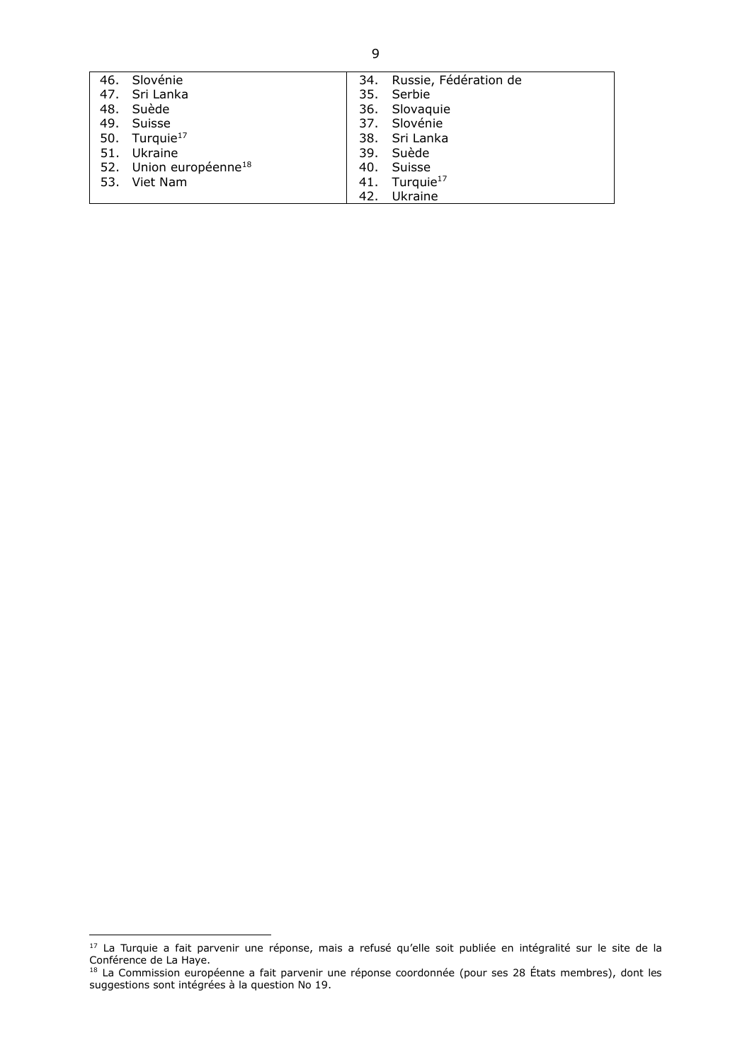| 46. Slovénie                       | 34. | Russie, Fédération de     |
|------------------------------------|-----|---------------------------|
| 47. Sri Lanka                      |     | 35. Serbie                |
| 48. Suède                          |     | 36. Slovaquie             |
| 49. Suisse                         |     | 37. Slovénie              |
| 50. Turquie <sup>17</sup>          |     | 38. Sri Lanka             |
| 51. Ukraine                        |     | 39. Suède                 |
| 52. Union européenne <sup>18</sup> |     | 40. Suisse                |
| 53. Viet Nam                       |     | 41. Turquie <sup>17</sup> |
|                                    |     | 42. Ukraine               |

1

<sup>&</sup>lt;sup>17</sup> La Turquie a fait parvenir une réponse, mais a refusé qu'elle soit publiée en intégralité sur le site de la Conférence de La Haye.

<sup>&</sup>lt;sup>18</sup> La Commission européenne a fait parvenir une réponse coordonnée (pour ses 28 États membres), dont les suggestions sont intégrées à la question No 19.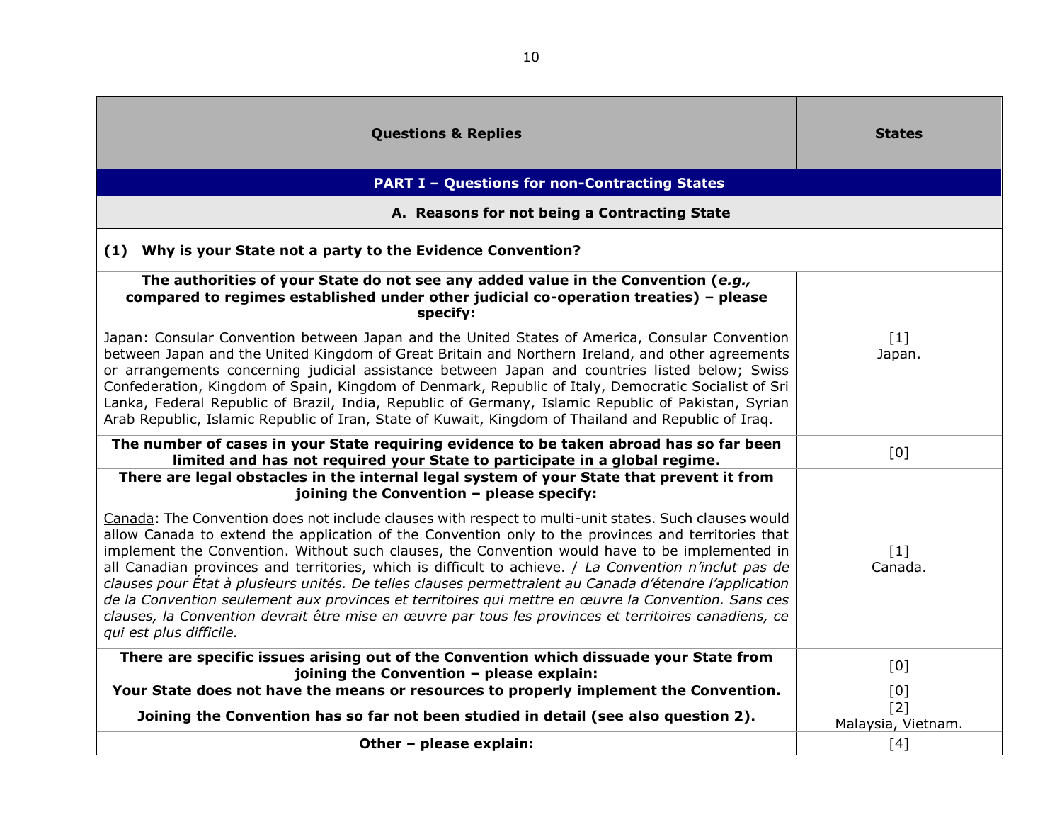<span id="page-9-2"></span><span id="page-9-1"></span><span id="page-9-0"></span>

| <b>Questions &amp; Replies</b>                                                                                                                                                                                                                                                                                                                                                                                                                                                                                                                                                                                                                                                                                                                                                 | <b>States</b>                |
|--------------------------------------------------------------------------------------------------------------------------------------------------------------------------------------------------------------------------------------------------------------------------------------------------------------------------------------------------------------------------------------------------------------------------------------------------------------------------------------------------------------------------------------------------------------------------------------------------------------------------------------------------------------------------------------------------------------------------------------------------------------------------------|------------------------------|
| <b>PART I - Questions for non-Contracting States</b>                                                                                                                                                                                                                                                                                                                                                                                                                                                                                                                                                                                                                                                                                                                           |                              |
| A. Reasons for not being a Contracting State                                                                                                                                                                                                                                                                                                                                                                                                                                                                                                                                                                                                                                                                                                                                   |                              |
| (1) Why is your State not a party to the Evidence Convention?                                                                                                                                                                                                                                                                                                                                                                                                                                                                                                                                                                                                                                                                                                                  |                              |
| The authorities of your State do not see any added value in the Convention (e.g.,<br>compared to regimes established under other judicial co-operation treaties) - please<br>specify:                                                                                                                                                                                                                                                                                                                                                                                                                                                                                                                                                                                          |                              |
| Japan: Consular Convention between Japan and the United States of America, Consular Convention<br>between Japan and the United Kingdom of Great Britain and Northern Ireland, and other agreements<br>or arrangements concerning judicial assistance between Japan and countries listed below; Swiss<br>Confederation, Kingdom of Spain, Kingdom of Denmark, Republic of Italy, Democratic Socialist of Sri<br>Lanka, Federal Republic of Brazil, India, Republic of Germany, Islamic Republic of Pakistan, Syrian<br>Arab Republic, Islamic Republic of Iran, State of Kuwait, Kingdom of Thailand and Republic of Irag.                                                                                                                                                      | $[1]$<br>Japan.              |
| The number of cases in your State requiring evidence to be taken abroad has so far been<br>limited and has not required your State to participate in a global regime.                                                                                                                                                                                                                                                                                                                                                                                                                                                                                                                                                                                                          | [0]                          |
| There are legal obstacles in the internal legal system of your State that prevent it from<br>joining the Convention - please specify:                                                                                                                                                                                                                                                                                                                                                                                                                                                                                                                                                                                                                                          |                              |
| Canada: The Convention does not include clauses with respect to multi-unit states. Such clauses would<br>allow Canada to extend the application of the Convention only to the provinces and territories that<br>implement the Convention. Without such clauses, the Convention would have to be implemented in<br>all Canadian provinces and territories, which is difficult to achieve. / La Convention n'inclut pas de<br>clauses pour État à plusieurs unités. De telles clauses permettraient au Canada d'étendre l'application<br>de la Convention seulement aux provinces et territoires qui mettre en œuvre la Convention. Sans ces<br>clauses, la Convention devrait être mise en œuvre par tous les provinces et territoires canadiens, ce<br>qui est plus difficile. | $\lceil 1 \rceil$<br>Canada. |
| There are specific issues arising out of the Convention which dissuade your State from<br>joining the Convention - please explain:                                                                                                                                                                                                                                                                                                                                                                                                                                                                                                                                                                                                                                             | [0]                          |
| Your State does not have the means or resources to properly implement the Convention.                                                                                                                                                                                                                                                                                                                                                                                                                                                                                                                                                                                                                                                                                          | [0]                          |
| Joining the Convention has so far not been studied in detail (see also question 2).                                                                                                                                                                                                                                                                                                                                                                                                                                                                                                                                                                                                                                                                                            | [2]<br>Malaysia, Vietnam.    |
| Other - please explain:                                                                                                                                                                                                                                                                                                                                                                                                                                                                                                                                                                                                                                                                                                                                                        | $[4]$                        |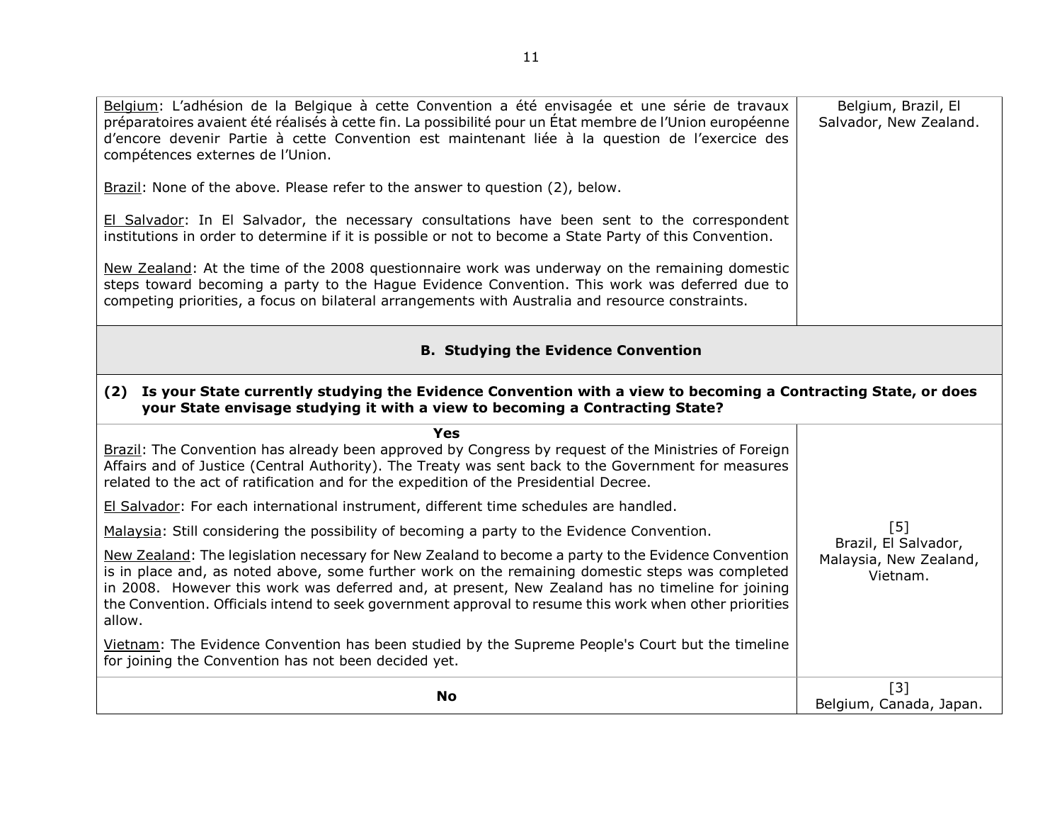<span id="page-10-1"></span><span id="page-10-0"></span>

| Belgium: L'adhésion de la Belgique à cette Convention a été envisagée et une série de travaux<br>préparatoires avaient été réalisés à cette fin. La possibilité pour un État membre de l'Union européenne<br>d'encore devenir Partie à cette Convention est maintenant liée à la question de l'exercice des<br>compétences externes de l'Union.                                                                                 | Belgium, Brazil, El<br>Salvador, New Zealand. |  |  |  |  |
|---------------------------------------------------------------------------------------------------------------------------------------------------------------------------------------------------------------------------------------------------------------------------------------------------------------------------------------------------------------------------------------------------------------------------------|-----------------------------------------------|--|--|--|--|
| <b>Brazil:</b> None of the above. Please refer to the answer to question $(2)$ , below.                                                                                                                                                                                                                                                                                                                                         |                                               |  |  |  |  |
| El Salvador: In El Salvador, the necessary consultations have been sent to the correspondent<br>institutions in order to determine if it is possible or not to become a State Party of this Convention.                                                                                                                                                                                                                         |                                               |  |  |  |  |
| New Zealand: At the time of the 2008 questionnaire work was underway on the remaining domestic<br>steps toward becoming a party to the Hague Evidence Convention. This work was deferred due to<br>competing priorities, a focus on bilateral arrangements with Australia and resource constraints.                                                                                                                             |                                               |  |  |  |  |
| <b>B. Studying the Evidence Convention</b>                                                                                                                                                                                                                                                                                                                                                                                      |                                               |  |  |  |  |
| (2) Is your State currently studying the Evidence Convention with a view to becoming a Contracting State, or does<br>your State envisage studying it with a view to becoming a Contracting State?                                                                                                                                                                                                                               |                                               |  |  |  |  |
| Yes<br>Brazil: The Convention has already been approved by Congress by request of the Ministries of Foreign<br>Affairs and of Justice (Central Authority). The Treaty was sent back to the Government for measures<br>related to the act of ratification and for the expedition of the Presidential Decree.                                                                                                                     |                                               |  |  |  |  |
| El Salvador: For each international instrument, different time schedules are handled.                                                                                                                                                                                                                                                                                                                                           |                                               |  |  |  |  |
| Malaysia: Still considering the possibility of becoming a party to the Evidence Convention.                                                                                                                                                                                                                                                                                                                                     | [5]<br>Brazil, El Salvador,                   |  |  |  |  |
| New Zealand: The legislation necessary for New Zealand to become a party to the Evidence Convention<br>is in place and, as noted above, some further work on the remaining domestic steps was completed<br>in 2008. However this work was deferred and, at present, New Zealand has no timeline for joining<br>the Convention. Officials intend to seek government approval to resume this work when other priorities<br>allow. | Malaysia, New Zealand,<br>Vietnam.            |  |  |  |  |
|                                                                                                                                                                                                                                                                                                                                                                                                                                 |                                               |  |  |  |  |
| Vietnam: The Evidence Convention has been studied by the Supreme People's Court but the timeline<br>for joining the Convention has not been decided yet.                                                                                                                                                                                                                                                                        |                                               |  |  |  |  |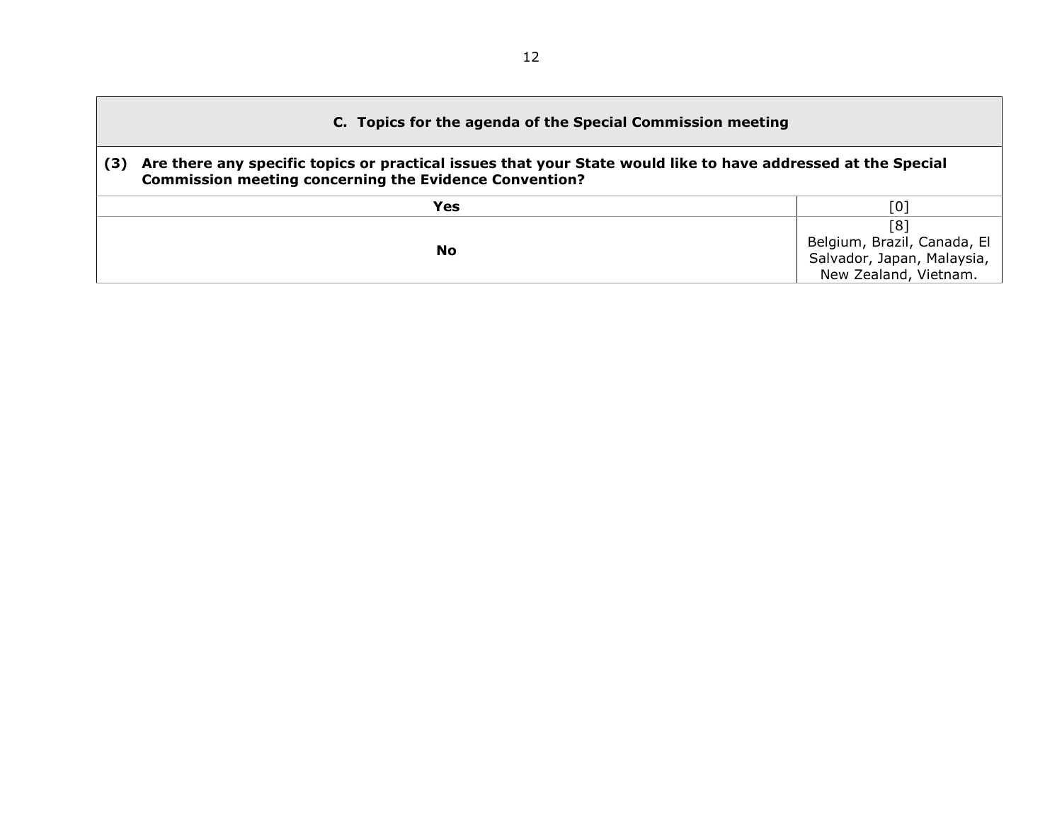<span id="page-11-1"></span><span id="page-11-0"></span>

| C. Topics for the agenda of the Special Commission meeting |                                                                                                                                                                                |                                                                                           |  |  |  |
|------------------------------------------------------------|--------------------------------------------------------------------------------------------------------------------------------------------------------------------------------|-------------------------------------------------------------------------------------------|--|--|--|
| (3)                                                        | Are there any specific topics or practical issues that your State would like to have addressed at the Special<br><b>Commission meeting concerning the Evidence Convention?</b> |                                                                                           |  |  |  |
|                                                            | Yes                                                                                                                                                                            | [0]                                                                                       |  |  |  |
|                                                            | No                                                                                                                                                                             | [8]<br>Belgium, Brazil, Canada, El<br>Salvador, Japan, Malaysia,<br>New Zealand, Vietnam. |  |  |  |

г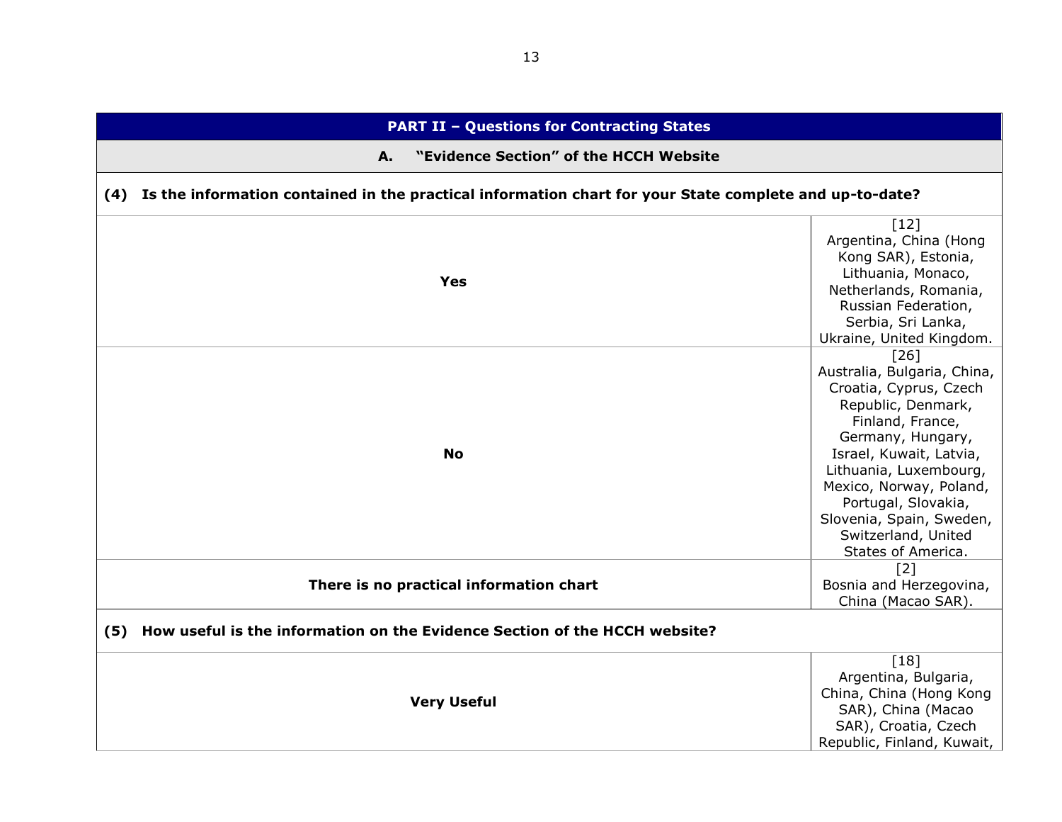<span id="page-12-3"></span><span id="page-12-2"></span><span id="page-12-1"></span><span id="page-12-0"></span>

| <b>PART II - Questions for Contracting States</b>                                                           |                                                                                                                                                                                                                                                                                                              |  |  |
|-------------------------------------------------------------------------------------------------------------|--------------------------------------------------------------------------------------------------------------------------------------------------------------------------------------------------------------------------------------------------------------------------------------------------------------|--|--|
| "Evidence Section" of the HCCH Website<br>A.                                                                |                                                                                                                                                                                                                                                                                                              |  |  |
| (4) Is the information contained in the practical information chart for your State complete and up-to-date? |                                                                                                                                                                                                                                                                                                              |  |  |
| <b>Yes</b>                                                                                                  | $[12]$<br>Argentina, China (Hong<br>Kong SAR), Estonia,<br>Lithuania, Monaco,<br>Netherlands, Romania,<br>Russian Federation,<br>Serbia, Sri Lanka,<br>Ukraine, United Kingdom.                                                                                                                              |  |  |
| <b>No</b>                                                                                                   | [26]<br>Australia, Bulgaria, China,<br>Croatia, Cyprus, Czech<br>Republic, Denmark,<br>Finland, France,<br>Germany, Hungary,<br>Israel, Kuwait, Latvia,<br>Lithuania, Luxembourg,<br>Mexico, Norway, Poland,<br>Portugal, Slovakia,<br>Slovenia, Spain, Sweden,<br>Switzerland, United<br>States of America. |  |  |
| There is no practical information chart                                                                     | $[2]$<br>Bosnia and Herzegovina,<br>China (Macao SAR).                                                                                                                                                                                                                                                       |  |  |
| (5) How useful is the information on the Evidence Section of the HCCH website?                              |                                                                                                                                                                                                                                                                                                              |  |  |
| <b>Very Useful</b>                                                                                          | $[18]$<br>Argentina, Bulgaria,<br>China, China (Hong Kong<br>SAR), China (Macao<br>SAR), Croatia, Czech<br>Republic, Finland, Kuwait,                                                                                                                                                                        |  |  |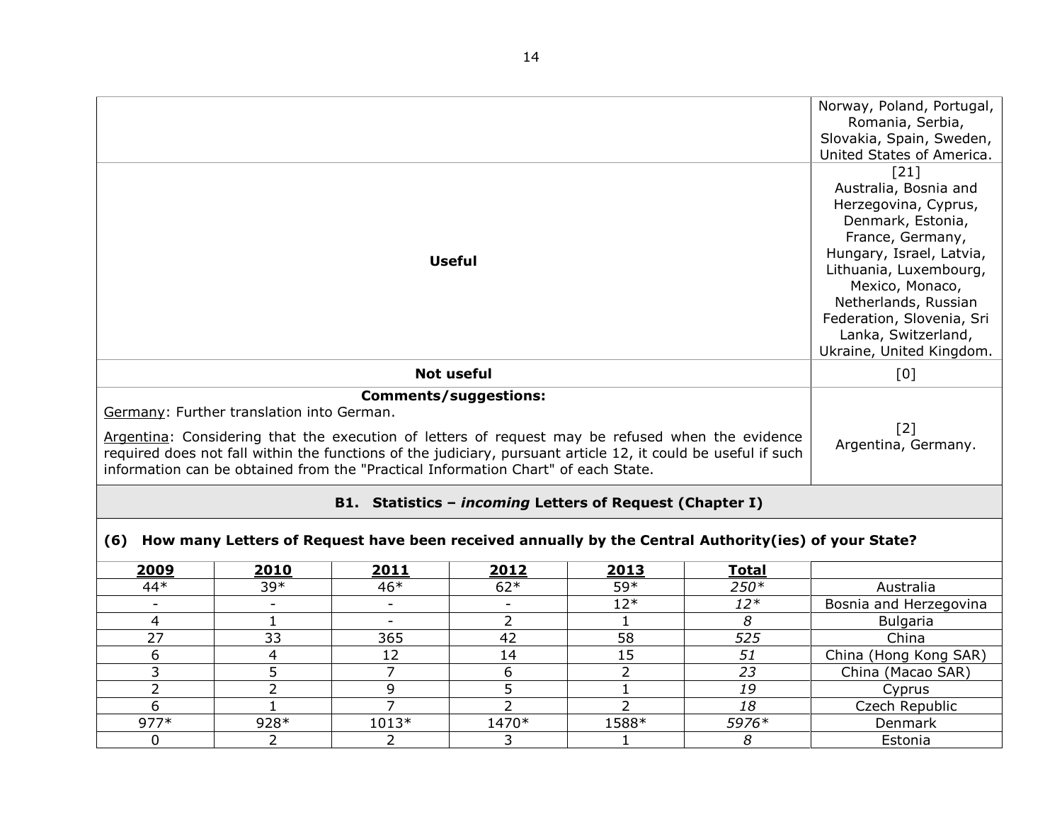|                                                                                                                                                                                                                                                                                                                                                     |                                                                                                      |                |                   |                |              | Norway, Poland, Portugal,<br>Romania, Serbia,<br>Slovakia, Spain, Sweden,                                                                                                                                                                                                       |
|-----------------------------------------------------------------------------------------------------------------------------------------------------------------------------------------------------------------------------------------------------------------------------------------------------------------------------------------------------|------------------------------------------------------------------------------------------------------|----------------|-------------------|----------------|--------------|---------------------------------------------------------------------------------------------------------------------------------------------------------------------------------------------------------------------------------------------------------------------------------|
|                                                                                                                                                                                                                                                                                                                                                     |                                                                                                      |                |                   |                |              | United States of America.                                                                                                                                                                                                                                                       |
| <b>Useful</b>                                                                                                                                                                                                                                                                                                                                       |                                                                                                      |                |                   |                |              | [21]<br>Australia, Bosnia and<br>Herzegovina, Cyprus,<br>Denmark, Estonia,<br>France, Germany,<br>Hungary, Israel, Latvia,<br>Lithuania, Luxembourg,<br>Mexico, Monaco,<br>Netherlands, Russian<br>Federation, Slovenia, Sri<br>Lanka, Switzerland,<br>Ukraine, United Kingdom. |
|                                                                                                                                                                                                                                                                                                                                                     |                                                                                                      |                | <b>Not useful</b> |                |              | [0]                                                                                                                                                                                                                                                                             |
| <b>Comments/suggestions:</b>                                                                                                                                                                                                                                                                                                                        |                                                                                                      |                |                   |                |              |                                                                                                                                                                                                                                                                                 |
| Germany: Further translation into German.<br>Argentina: Considering that the execution of letters of request may be refused when the evidence<br>required does not fall within the functions of the judiciary, pursuant article 12, it could be useful if such<br>information can be obtained from the "Practical Information Chart" of each State. | $\lceil 2 \rceil$<br>Argentina, Germany.                                                             |                |                   |                |              |                                                                                                                                                                                                                                                                                 |
| B1. Statistics - <i>incoming</i> Letters of Request (Chapter I)                                                                                                                                                                                                                                                                                     |                                                                                                      |                |                   |                |              |                                                                                                                                                                                                                                                                                 |
| (6)                                                                                                                                                                                                                                                                                                                                                 | How many Letters of Request have been received annually by the Central Authority(ies) of your State? |                |                   |                |              |                                                                                                                                                                                                                                                                                 |
| 2009                                                                                                                                                                                                                                                                                                                                                | 2010                                                                                                 | 2011           | 2012              | 2013           | <b>Total</b> |                                                                                                                                                                                                                                                                                 |
| $44*$                                                                                                                                                                                                                                                                                                                                               | 39*                                                                                                  | $46*$          | $62*$             | 59*            | 250*         | Australia                                                                                                                                                                                                                                                                       |
|                                                                                                                                                                                                                                                                                                                                                     | $\overline{\phantom{a}}$                                                                             | $\blacksquare$ |                   | $12*$          | $12*$        | Bosnia and Herzegovina                                                                                                                                                                                                                                                          |
| 4                                                                                                                                                                                                                                                                                                                                                   | $\mathbf{1}$                                                                                         | $\sim$         | 2                 | 1              | 8            | <b>Bulgaria</b>                                                                                                                                                                                                                                                                 |
| 27                                                                                                                                                                                                                                                                                                                                                  | 33                                                                                                   | 365            | 42                | 58             | 525          | China                                                                                                                                                                                                                                                                           |
| 6                                                                                                                                                                                                                                                                                                                                                   | $\overline{4}$                                                                                       | 12             | 14                | 15             | 51           | China (Hong Kong SAR)                                                                                                                                                                                                                                                           |
| 3                                                                                                                                                                                                                                                                                                                                                   | 5                                                                                                    | $\overline{7}$ | 6                 | $\overline{2}$ | 23           | China (Macao SAR)                                                                                                                                                                                                                                                               |
| $\overline{2}$                                                                                                                                                                                                                                                                                                                                      | $\overline{2}$                                                                                       | 9              | 5                 | $\mathbf{1}$   | 19           | Cyprus                                                                                                                                                                                                                                                                          |
| 6                                                                                                                                                                                                                                                                                                                                                   | $\mathbf{1}$                                                                                         | $\overline{7}$ | $\overline{2}$    | $\overline{2}$ | 18           | Czech Republic                                                                                                                                                                                                                                                                  |
| $977*$                                                                                                                                                                                                                                                                                                                                              | 928*                                                                                                 | 1013*          | $1470*$           | 1588*          | 5976*        | Denmark                                                                                                                                                                                                                                                                         |

<span id="page-13-1"></span><span id="page-13-0"></span>0 2 2 3 1 *8* Estonia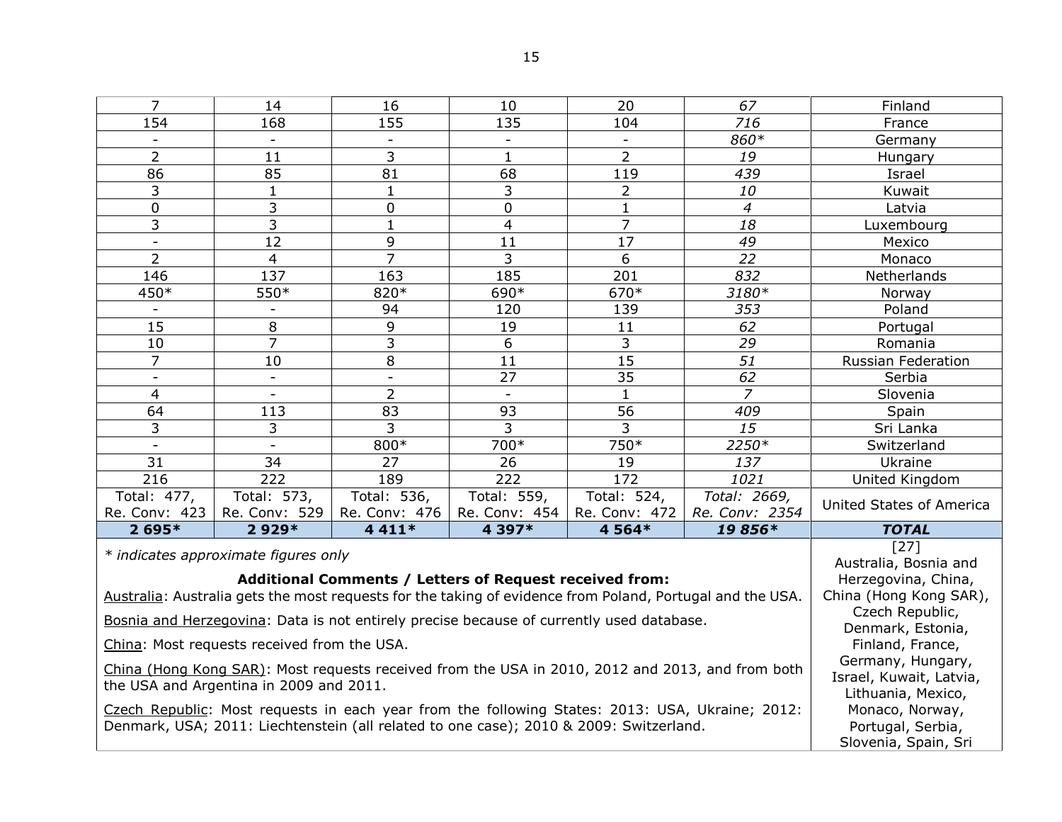| and the state |
|---------------|
| ۰,<br>×.<br>۹ |

| 7                                                                                                                                                 | 14                                                                                               | 16                                                                 | 10             | 20              | 67             | Finland                              |
|---------------------------------------------------------------------------------------------------------------------------------------------------|--------------------------------------------------------------------------------------------------|--------------------------------------------------------------------|----------------|-----------------|----------------|--------------------------------------|
| 154                                                                                                                                               | 168                                                                                              | 155                                                                | 135            | 104             | 716            | France                               |
|                                                                                                                                                   |                                                                                                  |                                                                    |                |                 | 860*           | Germany                              |
| $\overline{2}$                                                                                                                                    | 11                                                                                               | 3                                                                  | $\mathbf{1}$   | $\overline{2}$  | 19             | Hungary                              |
| 86                                                                                                                                                | 85                                                                                               | 81                                                                 | 68             | 119             | 439            | Israel                               |
| 3                                                                                                                                                 | $\mathbf{1}$                                                                                     | $\mathbf 1$                                                        | 3              | $\overline{2}$  | 10             | Kuwait                               |
| $\mathbf 0$                                                                                                                                       | 3                                                                                                | 0                                                                  | 0              | $\mathbf{1}$    | $\overline{4}$ | Latvia                               |
| 3                                                                                                                                                 | 3                                                                                                | $\mathbf{1}$                                                       | $\overline{4}$ | $\overline{7}$  | 18             | Luxembourg                           |
| $\overline{\phantom{0}}$                                                                                                                          | 12                                                                                               | 9                                                                  | 11             | $\overline{17}$ | 49             | Mexico                               |
| $\overline{2}$                                                                                                                                    | $\overline{4}$                                                                                   | $\overline{7}$                                                     | 3              | 6               | 22             | Monaco                               |
| 146                                                                                                                                               | 137                                                                                              | 163                                                                | 185            | 201             | 832            | Netherlands                          |
| 450*                                                                                                                                              | 550*                                                                                             | 820*                                                               | 690*           | 670*            | 3180*          | Norway                               |
| $\blacksquare$                                                                                                                                    | $\overline{\phantom{a}}$                                                                         | 94                                                                 | 120            | 139             | 353            | Poland                               |
| 15                                                                                                                                                | 8                                                                                                | 9                                                                  | 19             | 11              | 62             | Portugal                             |
| 10                                                                                                                                                | $\overline{7}$                                                                                   | 3                                                                  | 6              | 3               | 29             | Romania                              |
| $\overline{7}$                                                                                                                                    | 10                                                                                               | 8                                                                  | 11             | 15              | 51             | <b>Russian Federation</b>            |
| $\blacksquare$                                                                                                                                    | $\overline{\phantom{a}}$                                                                         | $\overline{\phantom{a}}$                                           | 27             | 35              | 62             | Serbia                               |
| 4                                                                                                                                                 |                                                                                                  | $\overline{2}$                                                     |                | $\mathbf{1}$    | $\overline{z}$ | Slovenia                             |
| 64                                                                                                                                                | 113                                                                                              | 83                                                                 | 93             | 56              | 409            | Spain                                |
| 3                                                                                                                                                 | 3                                                                                                | 3                                                                  | 3              | 3               | 15             | Sri Lanka                            |
| $\overline{a}$                                                                                                                                    |                                                                                                  | 800*                                                               | 700*           | 750*            | 2250*          | Switzerland                          |
| 31                                                                                                                                                | 34                                                                                               | 27                                                                 | 26             | 19              | 137            | Ukraine                              |
| 216                                                                                                                                               | 222                                                                                              | 189                                                                | 222            | 172             | 1021           | United Kingdom                       |
| Total: 477,                                                                                                                                       | Total: 573,                                                                                      | Total: 536,                                                        | Total: 559,    | Total: 524,     | Total: 2669,   | United States of America             |
| Re. Conv: 423                                                                                                                                     | Re. Conv: 529                                                                                    | Re. Conv: 476                                                      | Re. Conv: 454  | Re. Conv: 472   | Re. Conv: 2354 |                                      |
| $2695*$                                                                                                                                           | 2929*                                                                                            | 4 4 1 1 *                                                          | 4 397*         | 4 5 6 4 *       | 19856*         | <b>TOTAL</b>                         |
| * indicates approximate figures only<br>Australia: Australia gets the most requests for the taking of evidence from Poland, Portugal and the USA. | $[27]$<br>Australia, Bosnia and<br>Herzegovina, China,<br>China (Hong Kong SAR),                 |                                                                    |                |                 |                |                                      |
|                                                                                                                                                   | Bosnia and Herzegovina: Data is not entirely precise because of currently used database.         |                                                                    |                |                 |                | Czech Republic,<br>Denmark, Estonia, |
|                                                                                                                                                   | China: Most requests received from the USA.                                                      |                                                                    |                |                 |                | Finland, France,                     |
| the USA and Argentina in 2009 and 2011.                                                                                                           | China (Hong Kong SAR): Most requests received from the USA in 2010, 2012 and 2013, and from both | Germany, Hungary,<br>Israel, Kuwait, Latvia,<br>Lithuania, Mexico, |                |                 |                |                                      |
| Denmark, USA; 2011: Liechtenstein (all related to one case); 2010 & 2009: Switzerland.                                                            | Czech Republic: Most requests in each year from the following States: 2013: USA, Ukraine; 2012:  | Monaco, Norway,<br>Portugal, Serbia,<br>Slovenia, Spain, Sri       |                |                 |                |                                      |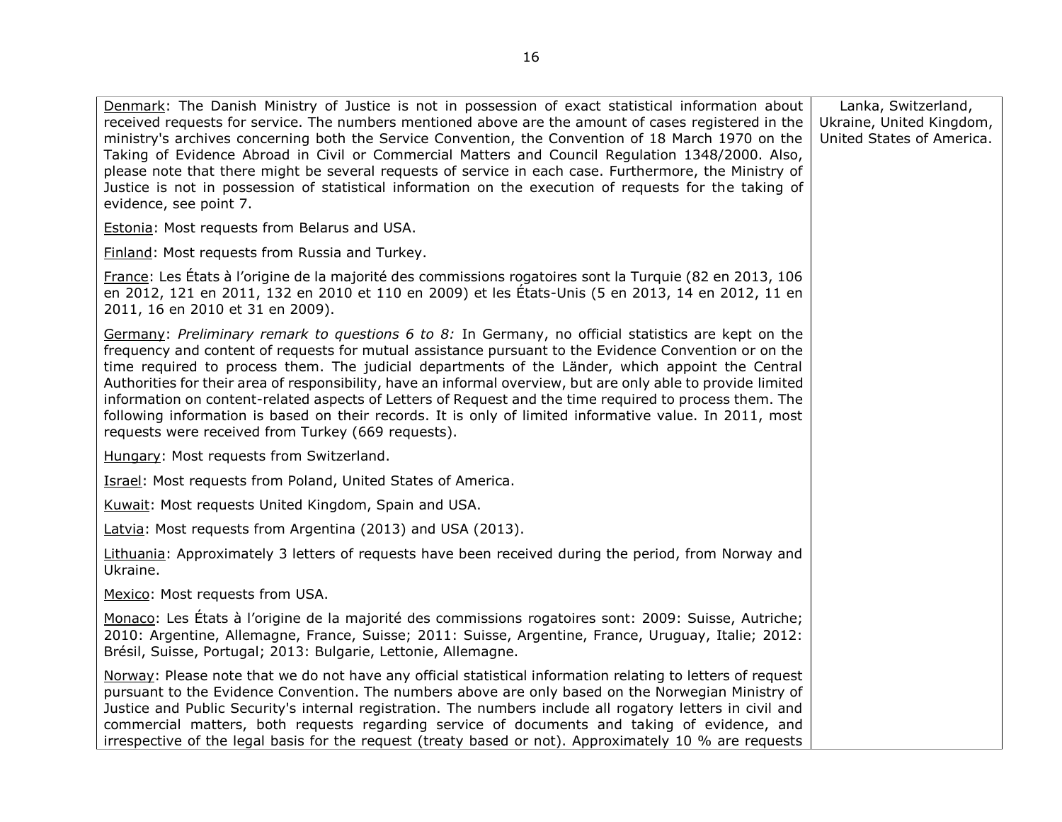| Denmark: The Danish Ministry of Justice is not in possession of exact statistical information about<br>received requests for service. The numbers mentioned above are the amount of cases registered in the<br>ministry's archives concerning both the Service Convention, the Convention of 18 March 1970 on the<br>Taking of Evidence Abroad in Civil or Commercial Matters and Council Regulation 1348/2000. Also,<br>please note that there might be several requests of service in each case. Furthermore, the Ministry of<br>Justice is not in possession of statistical information on the execution of requests for the taking of<br>evidence, see point 7.                                           | Lanka, Switzerland,<br>Ukraine, United Kingdom,<br>United States of America. |
|---------------------------------------------------------------------------------------------------------------------------------------------------------------------------------------------------------------------------------------------------------------------------------------------------------------------------------------------------------------------------------------------------------------------------------------------------------------------------------------------------------------------------------------------------------------------------------------------------------------------------------------------------------------------------------------------------------------|------------------------------------------------------------------------------|
| <b>Estonia: Most requests from Belarus and USA.</b>                                                                                                                                                                                                                                                                                                                                                                                                                                                                                                                                                                                                                                                           |                                                                              |
| Finland: Most requests from Russia and Turkey.                                                                                                                                                                                                                                                                                                                                                                                                                                                                                                                                                                                                                                                                |                                                                              |
| France: Les États à l'origine de la majorité des commissions rogatoires sont la Turquie (82 en 2013, 106<br>en 2012, 121 en 2011, 132 en 2010 et 110 en 2009) et les États-Unis (5 en 2013, 14 en 2012, 11 en<br>2011, 16 en 2010 et 31 en 2009).                                                                                                                                                                                                                                                                                                                                                                                                                                                             |                                                                              |
| Germany: Preliminary remark to questions 6 to 8: In Germany, no official statistics are kept on the<br>frequency and content of requests for mutual assistance pursuant to the Evidence Convention or on the<br>time required to process them. The judicial departments of the Länder, which appoint the Central<br>Authorities for their area of responsibility, have an informal overview, but are only able to provide limited<br>information on content-related aspects of Letters of Request and the time required to process them. The<br>following information is based on their records. It is only of limited informative value. In 2011, most<br>requests were received from Turkey (669 requests). |                                                                              |
| Hungary: Most requests from Switzerland.                                                                                                                                                                                                                                                                                                                                                                                                                                                                                                                                                                                                                                                                      |                                                                              |
| <b>Israel: Most requests from Poland, United States of America.</b>                                                                                                                                                                                                                                                                                                                                                                                                                                                                                                                                                                                                                                           |                                                                              |
| Kuwait: Most requests United Kingdom, Spain and USA.                                                                                                                                                                                                                                                                                                                                                                                                                                                                                                                                                                                                                                                          |                                                                              |
| Latvia: Most requests from Argentina (2013) and USA (2013).                                                                                                                                                                                                                                                                                                                                                                                                                                                                                                                                                                                                                                                   |                                                                              |
| Lithuania: Approximately 3 letters of requests have been received during the period, from Norway and<br>Ukraine.                                                                                                                                                                                                                                                                                                                                                                                                                                                                                                                                                                                              |                                                                              |
| Mexico: Most requests from USA.                                                                                                                                                                                                                                                                                                                                                                                                                                                                                                                                                                                                                                                                               |                                                                              |
| Monaco: Les États à l'origine de la majorité des commissions rogatoires sont: 2009: Suisse, Autriche;<br>2010: Argentine, Allemagne, France, Suisse; 2011: Suisse, Argentine, France, Uruguay, Italie; 2012:<br>Brésil, Suisse, Portugal; 2013: Bulgarie, Lettonie, Allemagne.                                                                                                                                                                                                                                                                                                                                                                                                                                |                                                                              |
| Norway: Please note that we do not have any official statistical information relating to letters of request<br>pursuant to the Evidence Convention. The numbers above are only based on the Norwegian Ministry of<br>Justice and Public Security's internal registration. The numbers include all rogatory letters in civil and<br>commercial matters, both requests regarding service of documents and taking of evidence, and<br>irrespective of the legal basis for the request (treaty based or not). Approximately 10 % are requests                                                                                                                                                                     |                                                                              |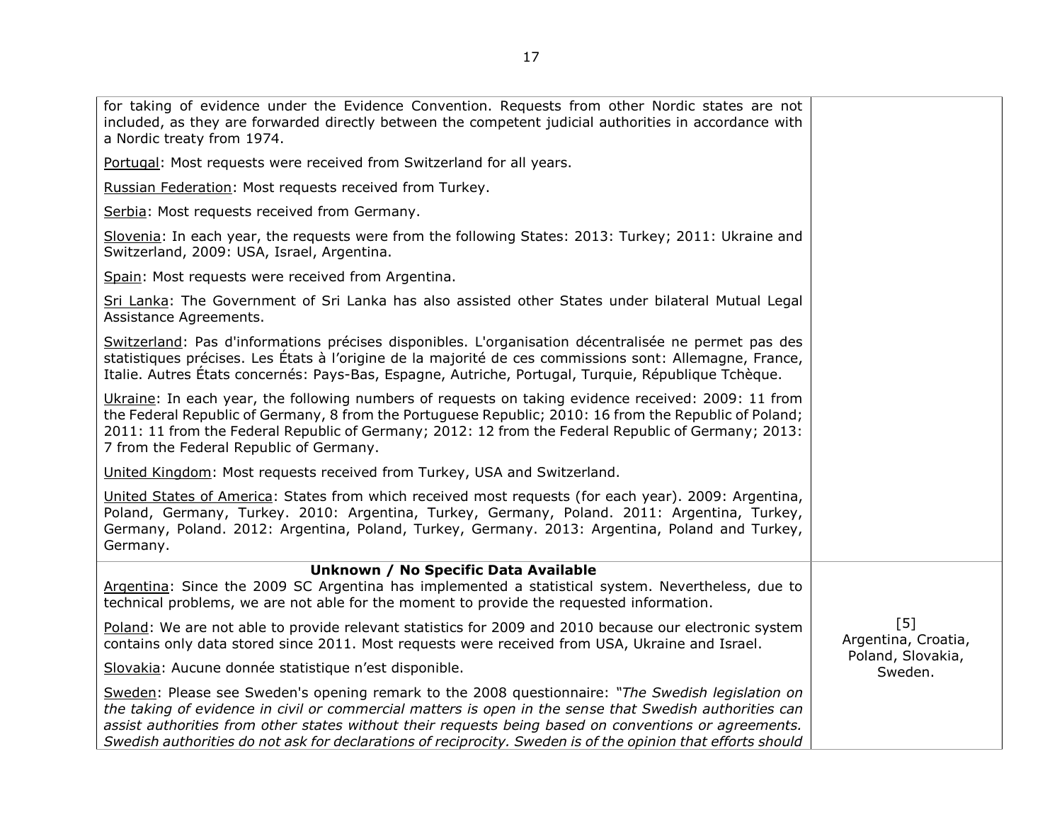| for taking of evidence under the Evidence Convention. Requests from other Nordic states are not<br>included, as they are forwarded directly between the competent judicial authorities in accordance with<br>a Nordic treaty from 1974.                                                                                                                                                                                               |                              |
|---------------------------------------------------------------------------------------------------------------------------------------------------------------------------------------------------------------------------------------------------------------------------------------------------------------------------------------------------------------------------------------------------------------------------------------|------------------------------|
| Portugal: Most requests were received from Switzerland for all years.                                                                                                                                                                                                                                                                                                                                                                 |                              |
| Russian Federation: Most requests received from Turkey.                                                                                                                                                                                                                                                                                                                                                                               |                              |
| Serbia: Most requests received from Germany.                                                                                                                                                                                                                                                                                                                                                                                          |                              |
| Slovenia: In each year, the requests were from the following States: 2013: Turkey; 2011: Ukraine and<br>Switzerland, 2009: USA, Israel, Argentina.                                                                                                                                                                                                                                                                                    |                              |
| Spain: Most requests were received from Argentina.                                                                                                                                                                                                                                                                                                                                                                                    |                              |
| Sri Lanka: The Government of Sri Lanka has also assisted other States under bilateral Mutual Legal<br>Assistance Agreements.                                                                                                                                                                                                                                                                                                          |                              |
| Switzerland: Pas d'informations précises disponibles. L'organisation décentralisée ne permet pas des<br>statistiques précises. Les États à l'origine de la majorité de ces commissions sont: Allemagne, France,<br>Italie. Autres États concernés: Pays-Bas, Espagne, Autriche, Portugal, Turquie, République Tchèque.                                                                                                                |                              |
| Ukraine: In each year, the following numbers of requests on taking evidence received: 2009: 11 from<br>the Federal Republic of Germany, 8 from the Portuguese Republic; 2010: 16 from the Republic of Poland;<br>2011: 11 from the Federal Republic of Germany; 2012: 12 from the Federal Republic of Germany; 2013:<br>7 from the Federal Republic of Germany.                                                                       |                              |
| United Kingdom: Most requests received from Turkey, USA and Switzerland.                                                                                                                                                                                                                                                                                                                                                              |                              |
| United States of America: States from which received most requests (for each year). 2009: Argentina,<br>Poland, Germany, Turkey. 2010: Argentina, Turkey, Germany, Poland. 2011: Argentina, Turkey,<br>Germany, Poland. 2012: Argentina, Poland, Turkey, Germany. 2013: Argentina, Poland and Turkey,<br>Germany.                                                                                                                     |                              |
| Unknown / No Specific Data Available<br>Argentina: Since the 2009 SC Argentina has implemented a statistical system. Nevertheless, due to<br>technical problems, we are not able for the moment to provide the requested information.                                                                                                                                                                                                 |                              |
| Poland: We are not able to provide relevant statistics for 2009 and 2010 because our electronic system<br>contains only data stored since 2011. Most requests were received from USA, Ukraine and Israel.                                                                                                                                                                                                                             | $[5]$<br>Argentina, Croatia, |
| Slovakia: Aucune donnée statistique n'est disponible.                                                                                                                                                                                                                                                                                                                                                                                 | Poland, Slovakia,<br>Sweden. |
| Sweden: Please see Sweden's opening remark to the 2008 questionnaire: "The Swedish legislation on<br>the taking of evidence in civil or commercial matters is open in the sense that Swedish authorities can<br>assist authorities from other states without their requests being based on conventions or agreements.<br>Swedish authorities do not ask for declarations of reciprocity. Sweden is of the opinion that efforts should |                              |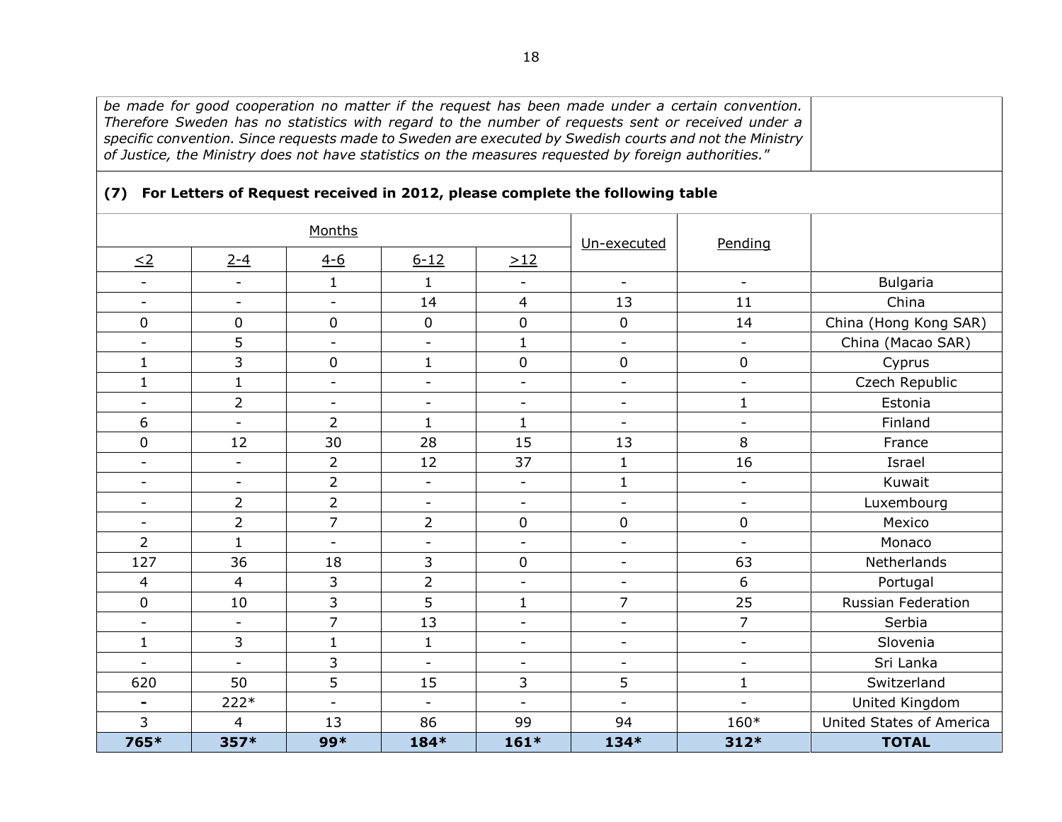*be made for good cooperation no matter if the request has been made under a certain convention. Therefore Sweden has no statistics with regard to the number of requests sent or received under a specific convention. Since requests made to Sweden are executed by Swedish courts and not the Ministry of Justice, the Ministry does not have statistics on the measures requested by foreign authorities.*"

<span id="page-17-0"></span>

| Months                   |                          |                          | Un-executed              | Pending                  |                          |                          |                          |
|--------------------------|--------------------------|--------------------------|--------------------------|--------------------------|--------------------------|--------------------------|--------------------------|
| $\leq$ 2                 | $2 - 4$                  | $4 - 6$                  | $6 - 12$                 | >12                      |                          |                          |                          |
| $\blacksquare$           | $\sim$                   | $\mathbf{1}$             | $\mathbf{1}$             | $\overline{\phantom{a}}$ | $\blacksquare$           | $\mathbf{r}$             | <b>Bulgaria</b>          |
| $\blacksquare$           | $\overline{\phantom{a}}$ | $\overline{\phantom{a}}$ | 14                       | 4                        | 13                       | 11                       | China                    |
| $\mathbf 0$              | 0                        | 0                        | $\mathbf 0$              | 0                        | $\mathbf 0$              | 14                       | China (Hong Kong SAR)    |
| $\blacksquare$           | 5                        | $\overline{\phantom{a}}$ | $\overline{\phantom{a}}$ | $\mathbf{1}$             | $\overline{\phantom{a}}$ | $\overline{\phantom{a}}$ | China (Macao SAR)        |
| $\mathbf{1}$             | 3                        | 0                        | $\mathbf{1}$             | 0                        | $\mathbf 0$              | $\mathbf 0$              | Cyprus                   |
| $\mathbf{1}$             | $\mathbf{1}$             | $\blacksquare$           | $\overline{\phantom{a}}$ | $\overline{\phantom{a}}$ | $\overline{\phantom{a}}$ | $\overline{\phantom{a}}$ | Czech Republic           |
| $\blacksquare$           | $\overline{2}$           | $\blacksquare$           | $\overline{\phantom{a}}$ | $\blacksquare$           | $\overline{\phantom{a}}$ | $\mathbf{1}$             | Estonia                  |
| 6                        | $\overline{\phantom{a}}$ | $\overline{2}$           | $\mathbf{1}$             | $\mathbf{1}$             | $\overline{\phantom{a}}$ | $\overline{\phantom{0}}$ | Finland                  |
| $\mathbf 0$              | 12                       | 30                       | 28                       | 15                       | 13                       | 8                        | France                   |
| $\overline{\phantom{a}}$ | $\blacksquare$           | $\overline{2}$           | 12                       | 37                       | $\mathbf{1}$             | 16                       | Israel                   |
| $\blacksquare$           | $\overline{\phantom{a}}$ | $\overline{2}$           | $\overline{\phantom{a}}$ | $\blacksquare$           | $\mathbf{1}$             | $\blacksquare$           | Kuwait                   |
| $\overline{\phantom{a}}$ | $\overline{2}$           | $\overline{2}$           | $\overline{\phantom{a}}$ | $\overline{\phantom{a}}$ | $\overline{\phantom{a}}$ | $\overline{\phantom{a}}$ | Luxembourg               |
| $\overline{\phantom{a}}$ | $\overline{2}$           | $\overline{7}$           | $\overline{2}$           | 0                        | $\mathbf 0$              | $\pmb{0}$                | Mexico                   |
| $\overline{2}$           | $\mathbf{1}$             | $\blacksquare$           | $\blacksquare$           | $\blacksquare$           | $\overline{\phantom{a}}$ | $\blacksquare$           | Monaco                   |
| 127                      | 36                       | 18                       | 3                        | 0                        | $\overline{\phantom{a}}$ | 63                       | Netherlands              |
| 4                        | $\overline{4}$           | 3                        | $\overline{2}$           | $\blacksquare$           | $\blacksquare$           | 6                        | Portugal                 |
| $\mathbf 0$              | 10                       | 3                        | 5                        | $\mathbf{1}$             | 7                        | 25                       | Russian Federation       |
| $\sim$                   | $\sim$                   | $\overline{7}$           | 13                       | $\overline{\phantom{a}}$ | $\equiv$                 | $\overline{7}$           | Serbia                   |
| $\mathbf{1}$             | 3                        | $\mathbf{1}$             | $\mathbf{1}$             | $\overline{\phantom{a}}$ | $\overline{\phantom{a}}$ | $\overline{\phantom{a}}$ | Slovenia                 |
| $\overline{\phantom{0}}$ | $\overline{\phantom{a}}$ | 3                        | $\overline{\phantom{a}}$ | $\overline{\phantom{a}}$ | $\overline{\phantom{a}}$ | $\overline{\phantom{a}}$ | Sri Lanka                |
| 620                      | 50                       | 5                        | 15                       | 3                        | 5                        | $\mathbf{1}$             | Switzerland              |
| $\blacksquare$           | 222*                     | $\mathbf{r}$             | $\blacksquare$           | $\overline{a}$           | $\overline{a}$           |                          | United Kingdom           |
| 3                        | 4                        | 13                       | 86                       | 99                       | 94                       | $160*$                   | United States of America |
| 765*                     | 357*                     | 99*                      | 184*                     | $161*$                   | 134*                     | $312*$                   | <b>TOTAL</b>             |

## **(7) For Letters of Request received in 2012, please complete the following table**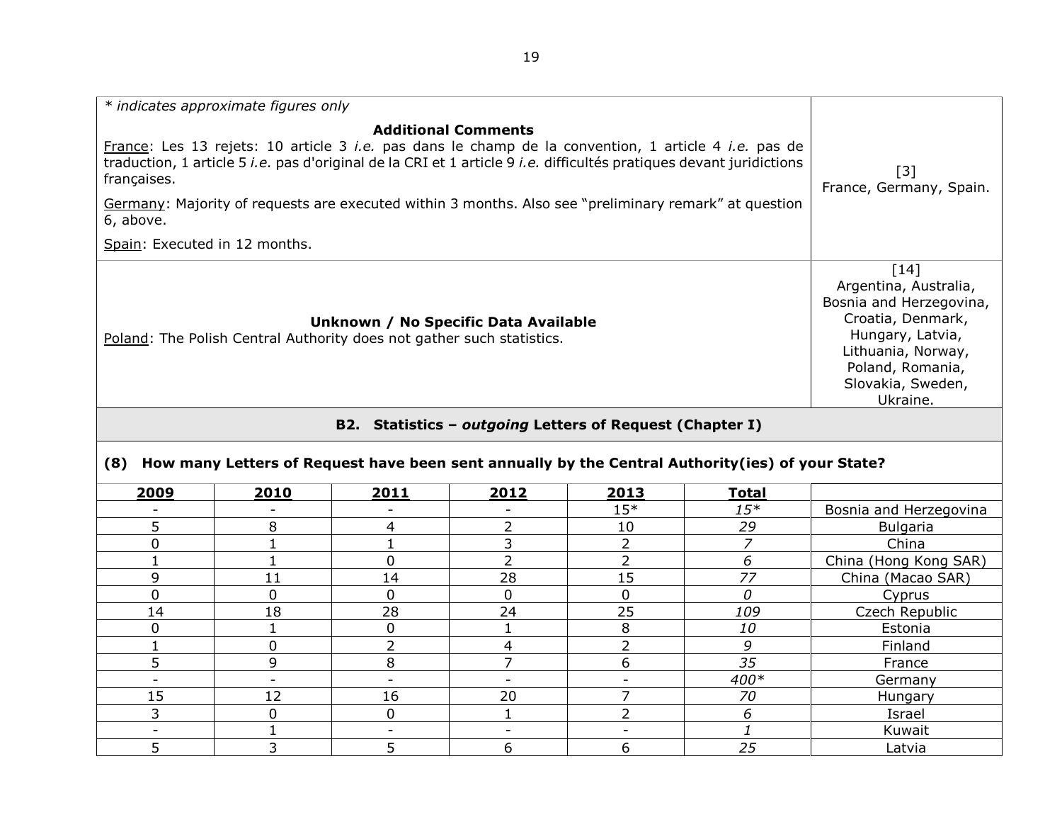| * indicates approximate figures only                                                                                                                                                                                                                                                                                                                                                                                       |                                                                                                                                                                                            |
|----------------------------------------------------------------------------------------------------------------------------------------------------------------------------------------------------------------------------------------------------------------------------------------------------------------------------------------------------------------------------------------------------------------------------|--------------------------------------------------------------------------------------------------------------------------------------------------------------------------------------------|
| <b>Additional Comments</b><br>France: Les 13 rejets: 10 article 3 <i>i.e.</i> pas dans le champ de la convention, 1 article 4 <i>i.e.</i> pas de<br>traduction, 1 article 5 <i>i.e.</i> pas d'original de la CRI et 1 article 9 <i>i.e.</i> difficultés pratiques devant juridictions<br>françaises.<br>Germany: Majority of requests are executed within 3 months. Also see "preliminary remark" at question<br>6, above. | [3]<br>France, Germany, Spain.                                                                                                                                                             |
| Spain: Executed in 12 months.                                                                                                                                                                                                                                                                                                                                                                                              |                                                                                                                                                                                            |
| Unknown / No Specific Data Available<br>Poland: The Polish Central Authority does not gather such statistics.                                                                                                                                                                                                                                                                                                              | $\lceil 14 \rceil$<br>Argentina, Australia,<br>Bosnia and Herzegovina,<br>Croatia, Denmark,<br>Hungary, Latvia,<br>Lithuania, Norway,<br>Poland, Romania,<br>Slovakia, Sweden,<br>Ukraine. |
| B2. Statistics - outgoing Letters of Request (Chapter I)                                                                                                                                                                                                                                                                                                                                                                   |                                                                                                                                                                                            |

# **(8) How many Letters of Request have been sent annually by the Central Authority(ies) of your State?**

<span id="page-18-1"></span><span id="page-18-0"></span>

| 2009                     | 2010 | 2011 | 2012 | 2013  | <b>Total</b> |                        |
|--------------------------|------|------|------|-------|--------------|------------------------|
|                          | -    |      |      | $15*$ | $15*$        | Bosnia and Herzegovina |
| 5                        | 8    | 4    |      | 10    | 29           | Bulgaria               |
| 0                        |      |      | 3    | ∍     |              | China                  |
|                          |      | 0    |      |       | 6            | China (Hong Kong SAR)  |
| 9                        | 11   | 14   | 28   | 15    | 77           | China (Macao SAR)      |
| $\mathbf 0$              | 0    | 0    | 0    | 0     | 0            | Cyprus                 |
| 14                       | 18   | 28   | 24   | 25    | 109          | Czech Republic         |
| $\Omega$                 |      | 0    |      | 8     | 10           | Estonia                |
|                          | 0    | C.   | 4    | h     | 9            | Finland                |
| 5                        | 9    | 8    |      | 6     | 35           | France                 |
| $\overline{\phantom{0}}$ | -    |      |      |       | 400*         | Germany                |
| 15                       | 12   | 16   | 20   |       | 70           | Hungary                |
| 3                        | 0    | 0    |      |       | 6            | Israel                 |
|                          |      |      |      |       |              | Kuwait                 |
|                          | 3    | 5    | 6    | 6     | 25           | Latvia                 |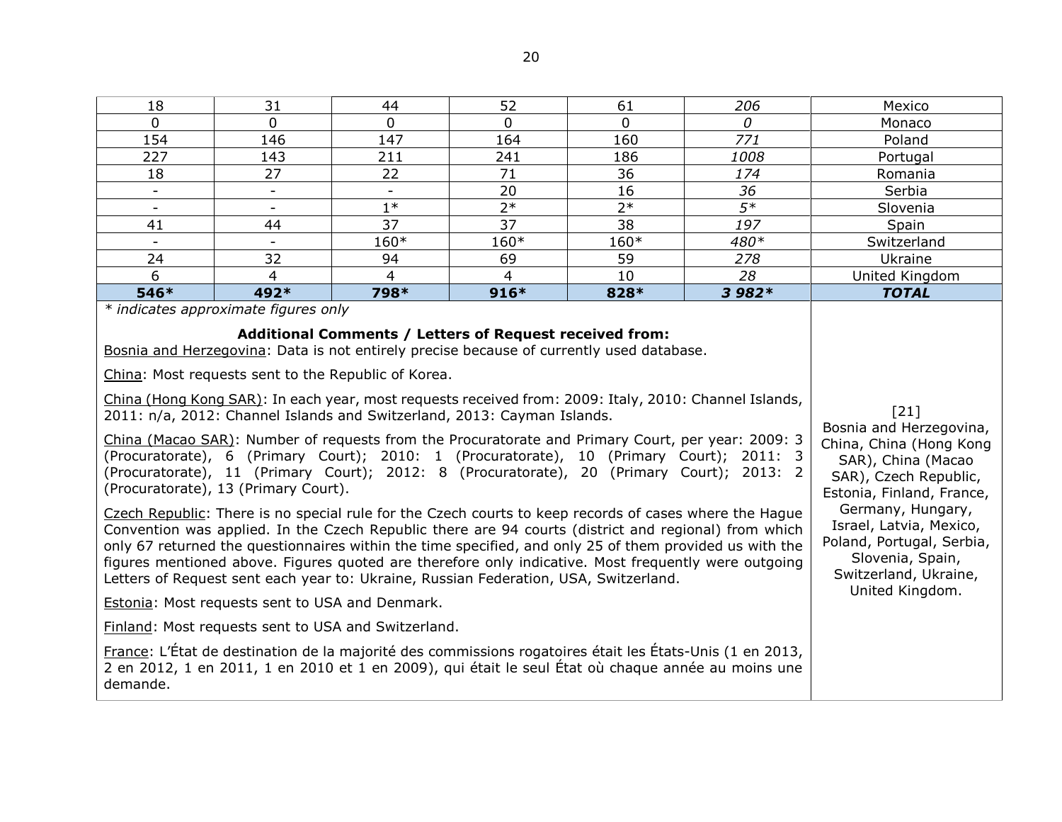| 18                                                                                                                                                                                                                                                                                                                                                                                                                                                                                                                                                                                                                                                                                                                                                                                                                                                                                                                                                                                                                                                                                                                                                                                                                                                                                                                                                                                                                                                                                                                                             | 31                                                                                                                                                                                                                                                                                  | 44          | 52              | 61       | 206             | Mexico         |
|------------------------------------------------------------------------------------------------------------------------------------------------------------------------------------------------------------------------------------------------------------------------------------------------------------------------------------------------------------------------------------------------------------------------------------------------------------------------------------------------------------------------------------------------------------------------------------------------------------------------------------------------------------------------------------------------------------------------------------------------------------------------------------------------------------------------------------------------------------------------------------------------------------------------------------------------------------------------------------------------------------------------------------------------------------------------------------------------------------------------------------------------------------------------------------------------------------------------------------------------------------------------------------------------------------------------------------------------------------------------------------------------------------------------------------------------------------------------------------------------------------------------------------------------|-------------------------------------------------------------------------------------------------------------------------------------------------------------------------------------------------------------------------------------------------------------------------------------|-------------|-----------------|----------|-----------------|----------------|
| $\mathbf 0$                                                                                                                                                                                                                                                                                                                                                                                                                                                                                                                                                                                                                                                                                                                                                                                                                                                                                                                                                                                                                                                                                                                                                                                                                                                                                                                                                                                                                                                                                                                                    | $\Omega$                                                                                                                                                                                                                                                                            | $\mathbf 0$ | $\Omega$        | $\Omega$ | $\mathcal{O}$   | Monaco         |
| 154                                                                                                                                                                                                                                                                                                                                                                                                                                                                                                                                                                                                                                                                                                                                                                                                                                                                                                                                                                                                                                                                                                                                                                                                                                                                                                                                                                                                                                                                                                                                            | 146                                                                                                                                                                                                                                                                                 | 147         | 164             | 160      | 771             | Poland         |
| 227                                                                                                                                                                                                                                                                                                                                                                                                                                                                                                                                                                                                                                                                                                                                                                                                                                                                                                                                                                                                                                                                                                                                                                                                                                                                                                                                                                                                                                                                                                                                            | 143                                                                                                                                                                                                                                                                                 | 211         | 241             | 186      | 1008            | Portugal       |
| 18                                                                                                                                                                                                                                                                                                                                                                                                                                                                                                                                                                                                                                                                                                                                                                                                                                                                                                                                                                                                                                                                                                                                                                                                                                                                                                                                                                                                                                                                                                                                             | 27                                                                                                                                                                                                                                                                                  | 22          | 71              | 36       | 174             | Romania        |
| $\overline{\phantom{a}}$                                                                                                                                                                                                                                                                                                                                                                                                                                                                                                                                                                                                                                                                                                                                                                                                                                                                                                                                                                                                                                                                                                                                                                                                                                                                                                                                                                                                                                                                                                                       | $\overline{\phantom{a}}$                                                                                                                                                                                                                                                            | $\equiv$    | 20              | 16       | 36              | Serbia         |
|                                                                                                                                                                                                                                                                                                                                                                                                                                                                                                                                                                                                                                                                                                                                                                                                                                                                                                                                                                                                                                                                                                                                                                                                                                                                                                                                                                                                                                                                                                                                                | $\blacksquare$                                                                                                                                                                                                                                                                      | $1*$        | $2*$            | $2*$     | $\overline{5*}$ | Slovenia       |
| 41                                                                                                                                                                                                                                                                                                                                                                                                                                                                                                                                                                                                                                                                                                                                                                                                                                                                                                                                                                                                                                                                                                                                                                                                                                                                                                                                                                                                                                                                                                                                             | 44                                                                                                                                                                                                                                                                                  | 37          | $\overline{37}$ | 38       | 197             | Spain          |
|                                                                                                                                                                                                                                                                                                                                                                                                                                                                                                                                                                                                                                                                                                                                                                                                                                                                                                                                                                                                                                                                                                                                                                                                                                                                                                                                                                                                                                                                                                                                                | $\overline{\phantom{a}}$                                                                                                                                                                                                                                                            | $160*$      | 160*            | 160*     | 480*            | Switzerland    |
| 24                                                                                                                                                                                                                                                                                                                                                                                                                                                                                                                                                                                                                                                                                                                                                                                                                                                                                                                                                                                                                                                                                                                                                                                                                                                                                                                                                                                                                                                                                                                                             | 32                                                                                                                                                                                                                                                                                  | 94          | 69              | 59       | 278             | Ukraine        |
| 6                                                                                                                                                                                                                                                                                                                                                                                                                                                                                                                                                                                                                                                                                                                                                                                                                                                                                                                                                                                                                                                                                                                                                                                                                                                                                                                                                                                                                                                                                                                                              | 4                                                                                                                                                                                                                                                                                   | 4           | $\overline{4}$  | 10       | 28              | United Kingdom |
| 546*                                                                                                                                                                                                                                                                                                                                                                                                                                                                                                                                                                                                                                                                                                                                                                                                                                                                                                                                                                                                                                                                                                                                                                                                                                                                                                                                                                                                                                                                                                                                           | 492*                                                                                                                                                                                                                                                                                | 798*        | 916*            | 828*     | 3 982*          | <b>TOTAL</b>   |
| Bosnia and Herzegovina: Data is not entirely precise because of currently used database.<br>China: Most requests sent to the Republic of Korea.<br>China (Hong Kong SAR): In each year, most requests received from: 2009: Italy, 2010: Channel Islands,<br>2011: n/a, 2012: Channel Islands and Switzerland, 2013: Cayman Islands.<br>China (Macao SAR): Number of requests from the Procuratorate and Primary Court, per year: 2009: 3<br>(Procuratorate), 6 (Primary Court); 2010: 1 (Procuratorate), 10 (Primary Court); 2011: 3<br>(Procuratorate), 11 (Primary Court); 2012: 8 (Procuratorate), 20 (Primary Court); 2013: 2<br>(Procuratorate), 13 (Primary Court).<br>Czech Republic: There is no special rule for the Czech courts to keep records of cases where the Hague<br>Convention was applied. In the Czech Republic there are 94 courts (district and regional) from which<br>only 67 returned the questionnaires within the time specified, and only 25 of them provided us with the<br>figures mentioned above. Figures quoted are therefore only indicative. Most frequently were outgoing<br>Letters of Request sent each year to: Ukraine, Russian Federation, USA, Switzerland.<br>Estonia: Most requests sent to USA and Denmark.<br>Finland: Most requests sent to USA and Switzerland.<br>France: L'État de destination de la majorité des commissions rogatoires était les États-Unis (1 en 2013,<br>2 en 2012, 1 en 2011, 1 en 2010 et 1 en 2009), qui était le seul État où chaque année au moins une<br>demande. | [21]<br>Bosnia and Herzegovina,<br>China, China (Hong Kong<br>SAR), China (Macao<br>SAR), Czech Republic,<br>Estonia, Finland, France,<br>Germany, Hungary,<br>Israel, Latvia, Mexico,<br>Poland, Portugal, Serbia,<br>Slovenia, Spain,<br>Switzerland, Ukraine,<br>United Kingdom. |             |                 |          |                 |                |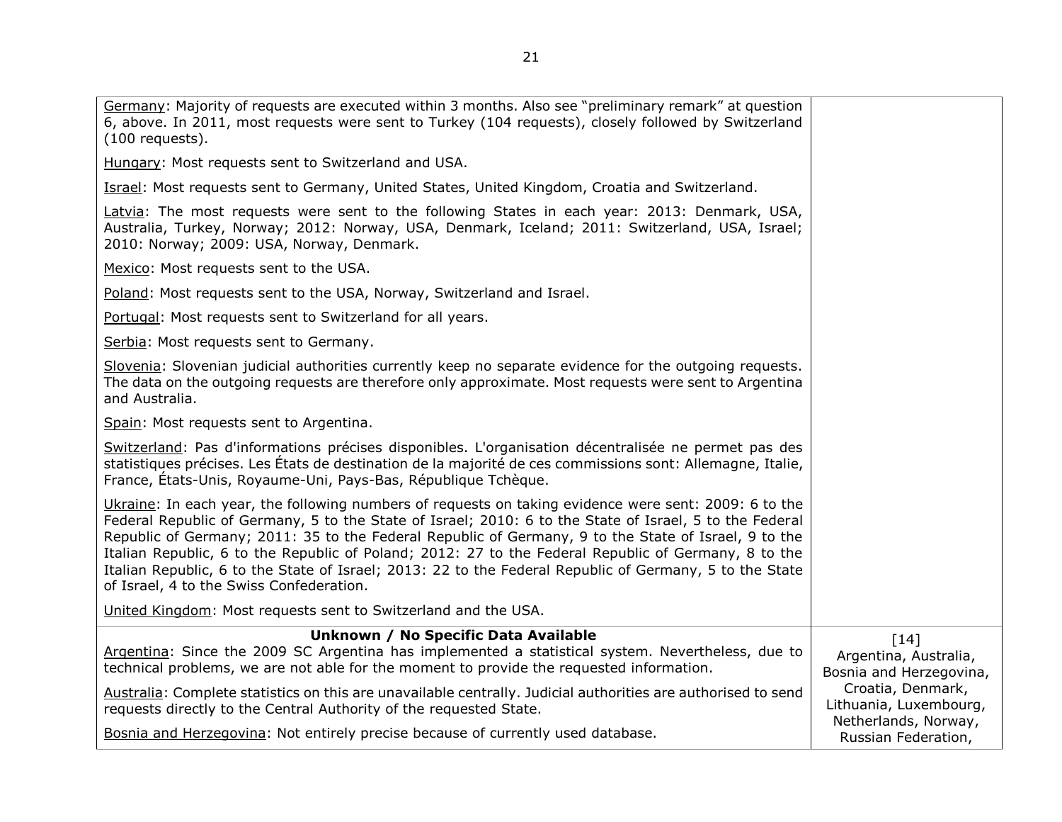| Germany: Majority of requests are executed within 3 months. Also see "preliminary remark" at question<br>6, above. In 2011, most requests were sent to Turkey (104 requests), closely followed by Switzerland<br>$(100$ requests).                                                                                                                                                                                                                                                                                                                                                      |                                                                     |
|-----------------------------------------------------------------------------------------------------------------------------------------------------------------------------------------------------------------------------------------------------------------------------------------------------------------------------------------------------------------------------------------------------------------------------------------------------------------------------------------------------------------------------------------------------------------------------------------|---------------------------------------------------------------------|
| Hungary: Most requests sent to Switzerland and USA.                                                                                                                                                                                                                                                                                                                                                                                                                                                                                                                                     |                                                                     |
| Israel: Most requests sent to Germany, United States, United Kingdom, Croatia and Switzerland.                                                                                                                                                                                                                                                                                                                                                                                                                                                                                          |                                                                     |
| Latvia: The most requests were sent to the following States in each year: 2013: Denmark, USA,<br>Australia, Turkey, Norway; 2012: Norway, USA, Denmark, Iceland; 2011: Switzerland, USA, Israel;<br>2010: Norway; 2009: USA, Norway, Denmark.                                                                                                                                                                                                                                                                                                                                           |                                                                     |
| Mexico: Most requests sent to the USA.                                                                                                                                                                                                                                                                                                                                                                                                                                                                                                                                                  |                                                                     |
| Poland: Most requests sent to the USA, Norway, Switzerland and Israel.                                                                                                                                                                                                                                                                                                                                                                                                                                                                                                                  |                                                                     |
| Portugal: Most requests sent to Switzerland for all years.                                                                                                                                                                                                                                                                                                                                                                                                                                                                                                                              |                                                                     |
| Serbia: Most requests sent to Germany.                                                                                                                                                                                                                                                                                                                                                                                                                                                                                                                                                  |                                                                     |
| Slovenia: Slovenian judicial authorities currently keep no separate evidence for the outgoing requests.<br>The data on the outgoing requests are therefore only approximate. Most requests were sent to Argentina<br>and Australia.                                                                                                                                                                                                                                                                                                                                                     |                                                                     |
| Spain: Most requests sent to Argentina.                                                                                                                                                                                                                                                                                                                                                                                                                                                                                                                                                 |                                                                     |
| Switzerland: Pas d'informations précises disponibles. L'organisation décentralisée ne permet pas des<br>statistiques précises. Les États de destination de la majorité de ces commissions sont: Allemagne, Italie,<br>France, États-Unis, Royaume-Uni, Pays-Bas, République Tchèque.                                                                                                                                                                                                                                                                                                    |                                                                     |
| Ukraine: In each year, the following numbers of requests on taking evidence were sent: 2009: 6 to the<br>Federal Republic of Germany, 5 to the State of Israel; 2010: 6 to the State of Israel, 5 to the Federal<br>Republic of Germany; 2011: 35 to the Federal Republic of Germany, 9 to the State of Israel, 9 to the<br>Italian Republic, 6 to the Republic of Poland; 2012: 27 to the Federal Republic of Germany, 8 to the<br>Italian Republic, 6 to the State of Israel; 2013: 22 to the Federal Republic of Germany, 5 to the State<br>of Israel, 4 to the Swiss Confederation. |                                                                     |
| United Kingdom: Most requests sent to Switzerland and the USA.                                                                                                                                                                                                                                                                                                                                                                                                                                                                                                                          |                                                                     |
| Unknown / No Specific Data Available<br>Argentina: Since the 2009 SC Argentina has implemented a statistical system. Nevertheless, due to<br>technical problems, we are not able for the moment to provide the requested information.                                                                                                                                                                                                                                                                                                                                                   | $[14]$<br>Argentina, Australia,<br>Bosnia and Herzegovina,          |
| Australia: Complete statistics on this are unavailable centrally. Judicial authorities are authorised to send<br>requests directly to the Central Authority of the requested State.                                                                                                                                                                                                                                                                                                                                                                                                     | Croatia, Denmark,<br>Lithuania, Luxembourg,<br>Netherlands, Norway, |
| Bosnia and Herzegovina: Not entirely precise because of currently used database.                                                                                                                                                                                                                                                                                                                                                                                                                                                                                                        | Russian Federation,                                                 |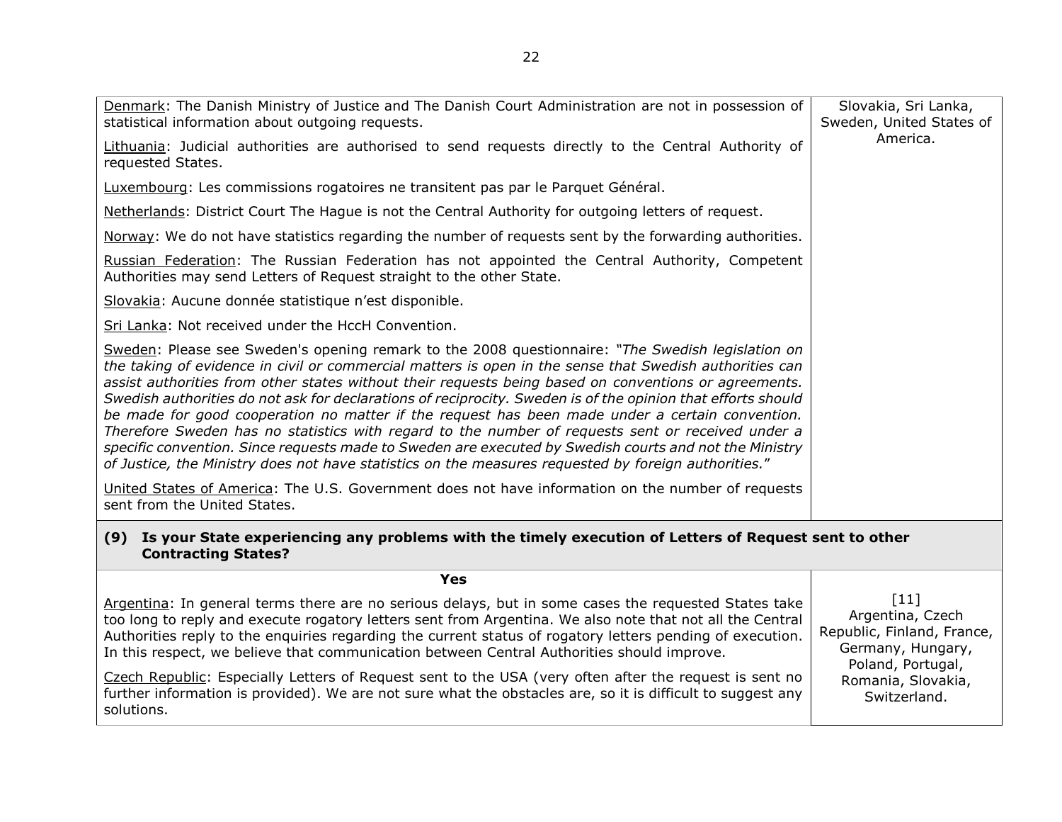<span id="page-21-0"></span>

| Denmark: The Danish Ministry of Justice and The Danish Court Administration are not in possession of<br>statistical information about outgoing requests.                                                                                                                                                                                                                                                                                                                                                                                                                                                                                                                                                                                                                                                                                                        | Slovakia, Sri Lanka,<br>Sweden, United States of                                                   |
|-----------------------------------------------------------------------------------------------------------------------------------------------------------------------------------------------------------------------------------------------------------------------------------------------------------------------------------------------------------------------------------------------------------------------------------------------------------------------------------------------------------------------------------------------------------------------------------------------------------------------------------------------------------------------------------------------------------------------------------------------------------------------------------------------------------------------------------------------------------------|----------------------------------------------------------------------------------------------------|
| Lithuania: Judicial authorities are authorised to send requests directly to the Central Authority of<br>requested States.                                                                                                                                                                                                                                                                                                                                                                                                                                                                                                                                                                                                                                                                                                                                       | America.                                                                                           |
| Luxembourg: Les commissions rogatoires ne transitent pas par le Parquet Général.                                                                                                                                                                                                                                                                                                                                                                                                                                                                                                                                                                                                                                                                                                                                                                                |                                                                                                    |
| Netherlands: District Court The Hague is not the Central Authority for outgoing letters of request.                                                                                                                                                                                                                                                                                                                                                                                                                                                                                                                                                                                                                                                                                                                                                             |                                                                                                    |
| Norway: We do not have statistics regarding the number of requests sent by the forwarding authorities.                                                                                                                                                                                                                                                                                                                                                                                                                                                                                                                                                                                                                                                                                                                                                          |                                                                                                    |
| Russian Federation: The Russian Federation has not appointed the Central Authority, Competent<br>Authorities may send Letters of Request straight to the other State.                                                                                                                                                                                                                                                                                                                                                                                                                                                                                                                                                                                                                                                                                           |                                                                                                    |
| Slovakia: Aucune donnée statistique n'est disponible.                                                                                                                                                                                                                                                                                                                                                                                                                                                                                                                                                                                                                                                                                                                                                                                                           |                                                                                                    |
| Sri Lanka: Not received under the HccH Convention.                                                                                                                                                                                                                                                                                                                                                                                                                                                                                                                                                                                                                                                                                                                                                                                                              |                                                                                                    |
| Sweden: Please see Sweden's opening remark to the 2008 questionnaire: "The Swedish legislation on<br>the taking of evidence in civil or commercial matters is open in the sense that Swedish authorities can<br>assist authorities from other states without their requests being based on conventions or agreements.<br>Swedish authorities do not ask for declarations of reciprocity. Sweden is of the opinion that efforts should<br>be made for good cooperation no matter if the request has been made under a certain convention.<br>Therefore Sweden has no statistics with regard to the number of requests sent or received under a<br>specific convention. Since requests made to Sweden are executed by Swedish courts and not the Ministry<br>of Justice, the Ministry does not have statistics on the measures requested by foreign authorities." |                                                                                                    |
| United States of America: The U.S. Government does not have information on the number of requests<br>sent from the United States.                                                                                                                                                                                                                                                                                                                                                                                                                                                                                                                                                                                                                                                                                                                               |                                                                                                    |
| (9) Is your State experiencing any problems with the timely execution of Letters of Request sent to other<br><b>Contracting States?</b>                                                                                                                                                                                                                                                                                                                                                                                                                                                                                                                                                                                                                                                                                                                         |                                                                                                    |
| <b>Yes</b>                                                                                                                                                                                                                                                                                                                                                                                                                                                                                                                                                                                                                                                                                                                                                                                                                                                      |                                                                                                    |
| Argentina: In general terms there are no serious delays, but in some cases the requested States take<br>too long to reply and execute rogatory letters sent from Argentina. We also note that not all the Central<br>Authorities reply to the enquiries regarding the current status of rogatory letters pending of execution.<br>In this respect, we believe that communication between Central Authorities should improve.                                                                                                                                                                                                                                                                                                                                                                                                                                    | $[11]$<br>Argentina, Czech<br>Republic, Finland, France,<br>Germany, Hungary,<br>Poland, Portugal, |
| Czech Republic: Especially Letters of Request sent to the USA (very often after the request is sent no<br>further information is provided). We are not sure what the obstacles are, so it is difficult to suggest any<br>solutions.                                                                                                                                                                                                                                                                                                                                                                                                                                                                                                                                                                                                                             | Romania, Slovakia,<br>Switzerland.                                                                 |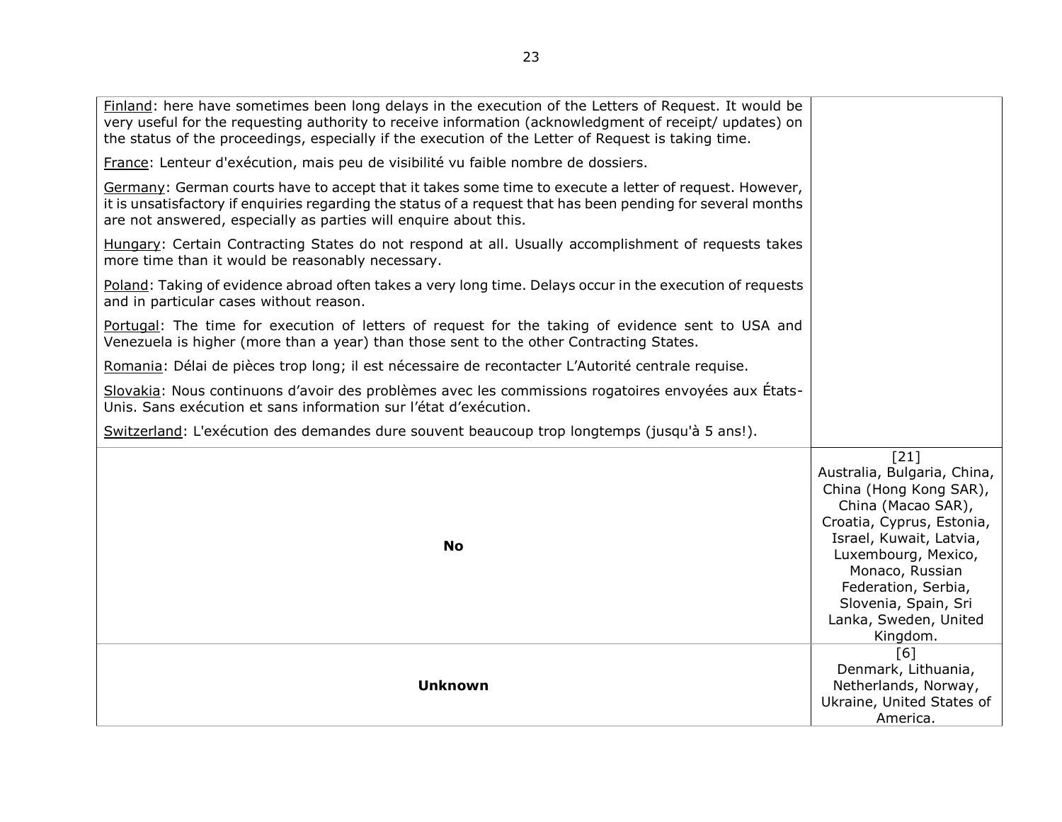| Finland: here have sometimes been long delays in the execution of the Letters of Request. It would be<br>very useful for the requesting authority to receive information (acknowledgment of receipt/ updates) on<br>the status of the proceedings, especially if the execution of the Letter of Request is taking time. |                                                                                                                                                                                                                                                                           |
|-------------------------------------------------------------------------------------------------------------------------------------------------------------------------------------------------------------------------------------------------------------------------------------------------------------------------|---------------------------------------------------------------------------------------------------------------------------------------------------------------------------------------------------------------------------------------------------------------------------|
| France: Lenteur d'exécution, mais peu de visibilité vu faible nombre de dossiers.                                                                                                                                                                                                                                       |                                                                                                                                                                                                                                                                           |
| Germany: German courts have to accept that it takes some time to execute a letter of request. However,<br>it is unsatisfactory if enquiries regarding the status of a request that has been pending for several months<br>are not answered, especially as parties will enquire about this.                              |                                                                                                                                                                                                                                                                           |
| Hungary: Certain Contracting States do not respond at all. Usually accomplishment of requests takes<br>more time than it would be reasonably necessary.                                                                                                                                                                 |                                                                                                                                                                                                                                                                           |
| Poland: Taking of evidence abroad often takes a very long time. Delays occur in the execution of requests<br>and in particular cases without reason.                                                                                                                                                                    |                                                                                                                                                                                                                                                                           |
| Portugal: The time for execution of letters of request for the taking of evidence sent to USA and<br>Venezuela is higher (more than a year) than those sent to the other Contracting States.                                                                                                                            |                                                                                                                                                                                                                                                                           |
| Romania: Délai de pièces trop long; il est nécessaire de recontacter L'Autorité centrale requise.                                                                                                                                                                                                                       |                                                                                                                                                                                                                                                                           |
| Slovakia: Nous continuons d'avoir des problèmes avec les commissions rogatoires envoyées aux États-<br>Unis. Sans exécution et sans information sur l'état d'exécution.                                                                                                                                                 |                                                                                                                                                                                                                                                                           |
| Switzerland: L'exécution des demandes dure souvent beaucoup trop longtemps (jusqu'à 5 ans!).                                                                                                                                                                                                                            |                                                                                                                                                                                                                                                                           |
| <b>No</b>                                                                                                                                                                                                                                                                                                               | [21]<br>Australia, Bulgaria, China,<br>China (Hong Kong SAR),<br>China (Macao SAR),<br>Croatia, Cyprus, Estonia,<br>Israel, Kuwait, Latvia,<br>Luxembourg, Mexico,<br>Monaco, Russian<br>Federation, Serbia,<br>Slovenia, Spain, Sri<br>Lanka, Sweden, United<br>Kingdom. |
| <b>Unknown</b>                                                                                                                                                                                                                                                                                                          | [6]<br>Denmark, Lithuania,<br>Netherlands, Norway,<br>Ukraine, United States of<br>America.                                                                                                                                                                               |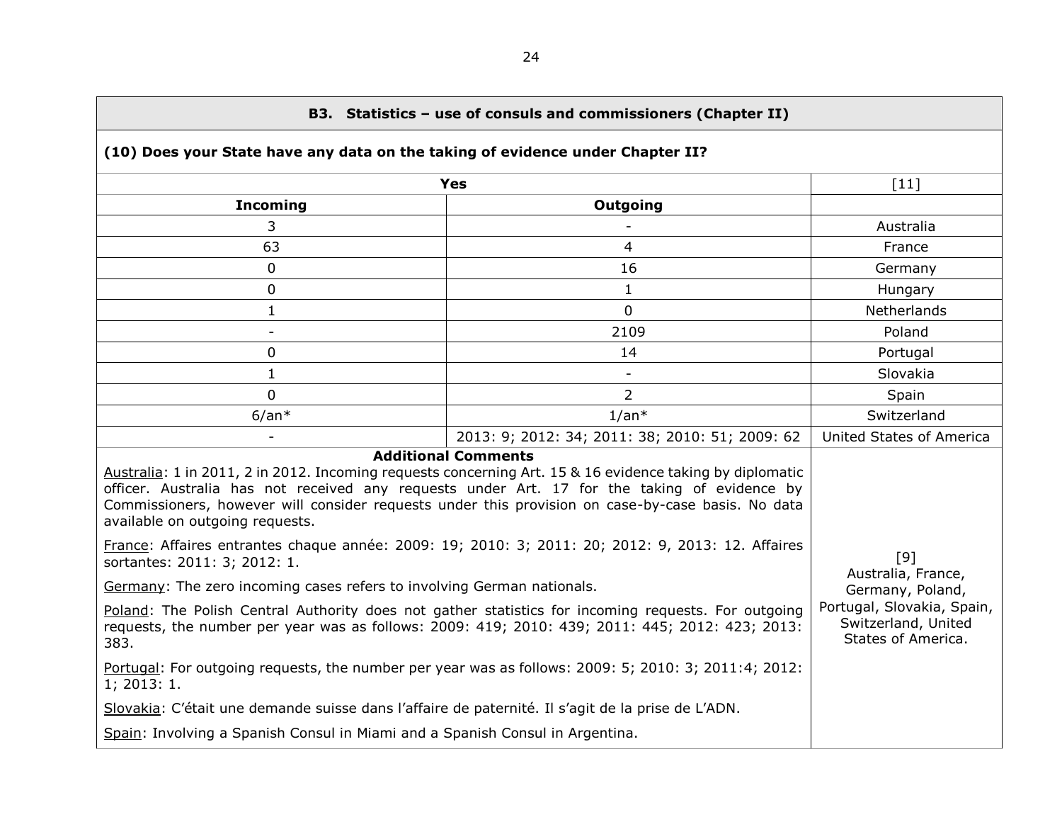<span id="page-23-1"></span><span id="page-23-0"></span>

| B3. Statistics - use of consuls and commissioners (Chapter II)                                                                                                                                                                                                                                                                                                                                                                                                                      |                                                                         |                           |  |  |  |
|-------------------------------------------------------------------------------------------------------------------------------------------------------------------------------------------------------------------------------------------------------------------------------------------------------------------------------------------------------------------------------------------------------------------------------------------------------------------------------------|-------------------------------------------------------------------------|---------------------------|--|--|--|
| (10) Does your State have any data on the taking of evidence under Chapter II?                                                                                                                                                                                                                                                                                                                                                                                                      |                                                                         |                           |  |  |  |
|                                                                                                                                                                                                                                                                                                                                                                                                                                                                                     | <b>Yes</b>                                                              | $[11]$                    |  |  |  |
| <b>Incoming</b>                                                                                                                                                                                                                                                                                                                                                                                                                                                                     | <b>Outgoing</b>                                                         |                           |  |  |  |
| 3                                                                                                                                                                                                                                                                                                                                                                                                                                                                                   |                                                                         | Australia                 |  |  |  |
| 63                                                                                                                                                                                                                                                                                                                                                                                                                                                                                  | $\overline{4}$                                                          | France                    |  |  |  |
| 0                                                                                                                                                                                                                                                                                                                                                                                                                                                                                   | 16                                                                      | Germany                   |  |  |  |
| $\mathbf 0$                                                                                                                                                                                                                                                                                                                                                                                                                                                                         | $\mathbf{1}$                                                            | Hungary                   |  |  |  |
| $\mathbf{1}$                                                                                                                                                                                                                                                                                                                                                                                                                                                                        | $\mathbf 0$                                                             | Netherlands               |  |  |  |
| $\overline{\phantom{a}}$                                                                                                                                                                                                                                                                                                                                                                                                                                                            | 2109                                                                    | Poland                    |  |  |  |
| 0                                                                                                                                                                                                                                                                                                                                                                                                                                                                                   | 14                                                                      | Portugal                  |  |  |  |
| $\mathbf{1}$                                                                                                                                                                                                                                                                                                                                                                                                                                                                        |                                                                         | Slovakia                  |  |  |  |
| $\Omega$                                                                                                                                                                                                                                                                                                                                                                                                                                                                            | $\overline{2}$                                                          | Spain                     |  |  |  |
| $6/an*$                                                                                                                                                                                                                                                                                                                                                                                                                                                                             | $1/an*$                                                                 | Switzerland               |  |  |  |
|                                                                                                                                                                                                                                                                                                                                                                                                                                                                                     | 2013: 9; 2012: 34; 2011: 38; 2010: 51; 2009: 62                         | United States of America  |  |  |  |
| <b>Additional Comments</b><br>Australia: 1 in 2011, 2 in 2012. Incoming requests concerning Art. 15 & 16 evidence taking by diplomatic<br>officer. Australia has not received any requests under Art. 17 for the taking of evidence by<br>Commissioners, however will consider requests under this provision on case-by-case basis. No data<br>available on outgoing requests.<br>France: Affaires entrantes chaque année: 2009: 19; 2010: 3; 2011: 20; 2012: 9, 2013: 12. Affaires |                                                                         |                           |  |  |  |
| sortantes: 2011: 3; 2012: 1.                                                                                                                                                                                                                                                                                                                                                                                                                                                        |                                                                         | [9]<br>Australia, France, |  |  |  |
| Germany: The zero incoming cases refers to involving German nationals.                                                                                                                                                                                                                                                                                                                                                                                                              |                                                                         | Germany, Poland,          |  |  |  |
| Poland: The Polish Central Authority does not gather statistics for incoming requests. For outgoing<br>requests, the number per year was as follows: 2009: 419; 2010: 439; 2011: 445; 2012: 423; 2013:<br>383.                                                                                                                                                                                                                                                                      | Portugal, Slovakia, Spain,<br>Switzerland, United<br>States of America. |                           |  |  |  |
| Portugal: For outgoing requests, the number per year was as follows: 2009: 5; 2010: 3; 2011:4; 2012:<br>1; 2013: 1.                                                                                                                                                                                                                                                                                                                                                                 |                                                                         |                           |  |  |  |
| Slovakia: C'était une demande suisse dans l'affaire de paternité. Il s'agit de la prise de L'ADN.                                                                                                                                                                                                                                                                                                                                                                                   |                                                                         |                           |  |  |  |
| Spain: Involving a Spanish Consul in Miami and a Spanish Consul in Argentina.                                                                                                                                                                                                                                                                                                                                                                                                       |                                                                         |                           |  |  |  |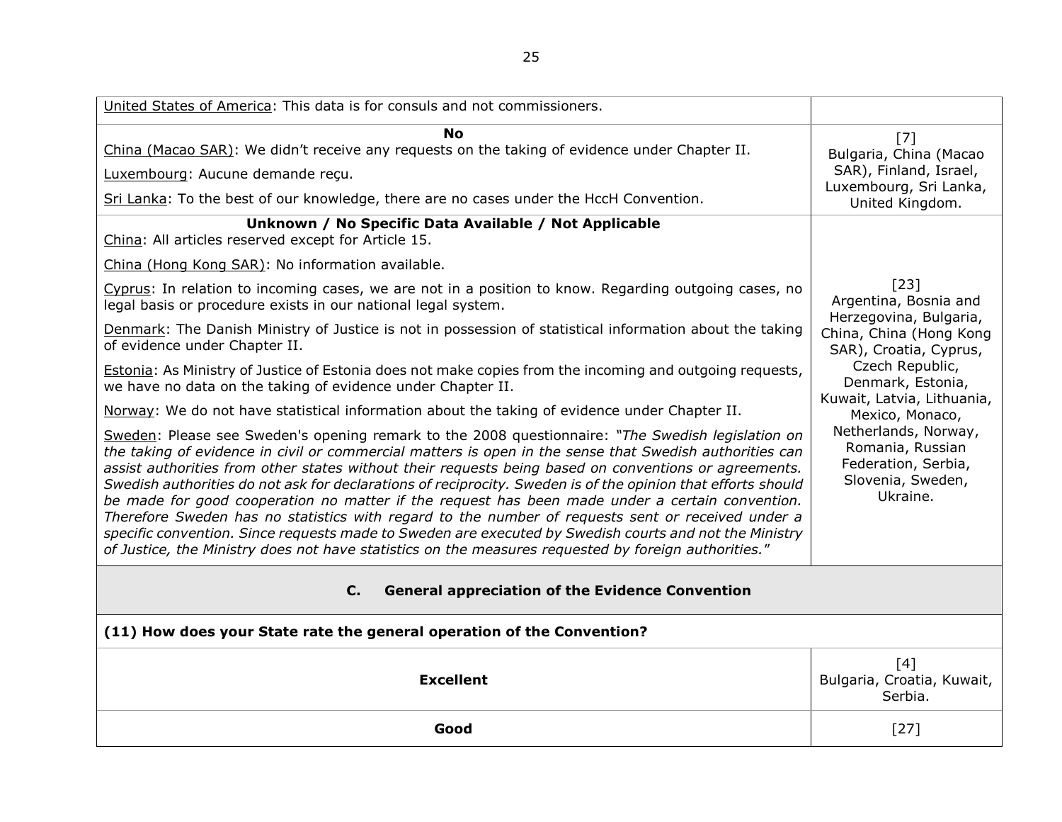<span id="page-24-1"></span><span id="page-24-0"></span>

| United States of America: This data is for consuls and not commissioners.                                                                                                                                                                                                                                                                                                                                                                                                                                                                                                                                                                                                                                                                                                                                                                                       |                                                                                                      |
|-----------------------------------------------------------------------------------------------------------------------------------------------------------------------------------------------------------------------------------------------------------------------------------------------------------------------------------------------------------------------------------------------------------------------------------------------------------------------------------------------------------------------------------------------------------------------------------------------------------------------------------------------------------------------------------------------------------------------------------------------------------------------------------------------------------------------------------------------------------------|------------------------------------------------------------------------------------------------------|
| <b>No</b><br>China (Macao SAR): We didn't receive any requests on the taking of evidence under Chapter II.<br>Luxembourg: Aucune demande reçu.<br>Sri Lanka: To the best of our knowledge, there are no cases under the HccH Convention.                                                                                                                                                                                                                                                                                                                                                                                                                                                                                                                                                                                                                        | [7]<br>Bulgaria, China (Macao<br>SAR), Finland, Israel,<br>Luxembourg, Sri Lanka,<br>United Kingdom. |
| Unknown / No Specific Data Available / Not Applicable<br>China: All articles reserved except for Article 15.                                                                                                                                                                                                                                                                                                                                                                                                                                                                                                                                                                                                                                                                                                                                                    |                                                                                                      |
| China (Hong Kong SAR): No information available.                                                                                                                                                                                                                                                                                                                                                                                                                                                                                                                                                                                                                                                                                                                                                                                                                |                                                                                                      |
| Cyprus: In relation to incoming cases, we are not in a position to know. Regarding outgoing cases, no<br>legal basis or procedure exists in our national legal system.                                                                                                                                                                                                                                                                                                                                                                                                                                                                                                                                                                                                                                                                                          | [23]<br>Argentina, Bosnia and                                                                        |
| Denmark: The Danish Ministry of Justice is not in possession of statistical information about the taking<br>of evidence under Chapter II.                                                                                                                                                                                                                                                                                                                                                                                                                                                                                                                                                                                                                                                                                                                       | Herzegovina, Bulgaria,<br>China, China (Hong Kong<br>SAR), Croatia, Cyprus,                          |
| <b>Estonia:</b> As Ministry of Justice of Estonia does not make copies from the incoming and outgoing requests,<br>we have no data on the taking of evidence under Chapter II.                                                                                                                                                                                                                                                                                                                                                                                                                                                                                                                                                                                                                                                                                  | Czech Republic,<br>Denmark, Estonia,<br>Kuwait, Latvia, Lithuania,                                   |
| Norway: We do not have statistical information about the taking of evidence under Chapter II.                                                                                                                                                                                                                                                                                                                                                                                                                                                                                                                                                                                                                                                                                                                                                                   | Mexico, Monaco,                                                                                      |
| Sweden: Please see Sweden's opening remark to the 2008 questionnaire: "The Swedish legislation on<br>the taking of evidence in civil or commercial matters is open in the sense that Swedish authorities can<br>assist authorities from other states without their requests being based on conventions or agreements.<br>Swedish authorities do not ask for declarations of reciprocity. Sweden is of the opinion that efforts should<br>be made for good cooperation no matter if the request has been made under a certain convention.<br>Therefore Sweden has no statistics with regard to the number of requests sent or received under a<br>specific convention. Since requests made to Sweden are executed by Swedish courts and not the Ministry<br>of Justice, the Ministry does not have statistics on the measures requested by foreign authorities." | Netherlands, Norway,<br>Romania, Russian<br>Federation, Serbia,<br>Slovenia, Sweden,<br>Ukraine.     |
| <b>General appreciation of the Evidence Convention</b><br>$C_{1}$                                                                                                                                                                                                                                                                                                                                                                                                                                                                                                                                                                                                                                                                                                                                                                                               |                                                                                                      |
| (11) How does your State rate the general operation of the Convention?                                                                                                                                                                                                                                                                                                                                                                                                                                                                                                                                                                                                                                                                                                                                                                                          |                                                                                                      |
| <b>Excellent</b>                                                                                                                                                                                                                                                                                                                                                                                                                                                                                                                                                                                                                                                                                                                                                                                                                                                | [4]<br>Bulgaria, Croatia, Kuwait,<br>Serbia.                                                         |
| Good                                                                                                                                                                                                                                                                                                                                                                                                                                                                                                                                                                                                                                                                                                                                                                                                                                                            | $[27]$                                                                                               |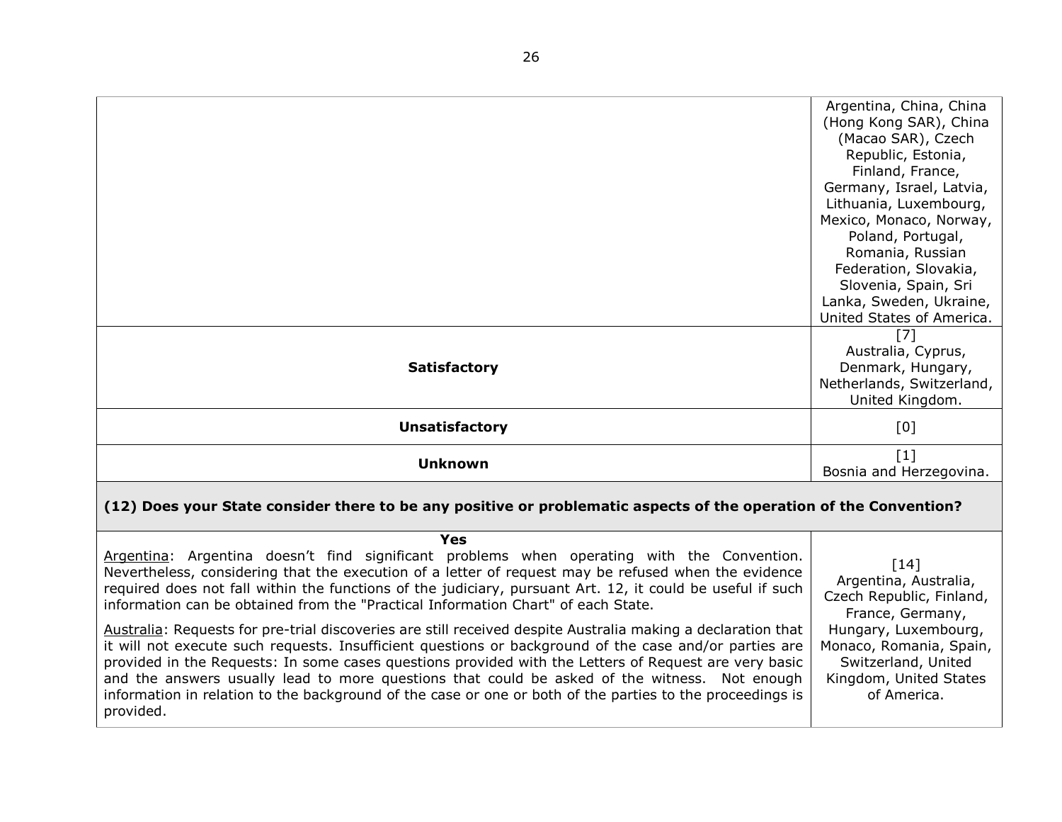|                       | Argentina, China, China<br>(Hong Kong SAR), China    |
|-----------------------|------------------------------------------------------|
|                       | (Macao SAR), Czech<br>Republic, Estonia,             |
|                       | Finland, France,                                     |
|                       | Germany, Israel, Latvia,<br>Lithuania, Luxembourg,   |
|                       | Mexico, Monaco, Norway,                              |
|                       | Poland, Portugal,                                    |
|                       | Romania, Russian<br>Federation, Slovakia,            |
|                       | Slovenia, Spain, Sri                                 |
|                       | Lanka, Sweden, Ukraine,<br>United States of America. |
|                       | $[7]$                                                |
|                       | Australia, Cyprus,                                   |
| <b>Satisfactory</b>   | Denmark, Hungary,                                    |
|                       | Netherlands, Switzerland,                            |
|                       | United Kingdom.                                      |
| <b>Unsatisfactory</b> | [0]                                                  |
| <b>Unknown</b>        | $\lceil 1 \rceil$                                    |
|                       | Bosnia and Herzegovina.                              |

# **(12) Does your State consider there to be any positive or problematic aspects of the operation of the Convention?**

<span id="page-25-0"></span>

| Yes                                                                                                                                                                                                                                                                                                                                                                                                                                                                                                                                                        |                                                                                                                 |
|------------------------------------------------------------------------------------------------------------------------------------------------------------------------------------------------------------------------------------------------------------------------------------------------------------------------------------------------------------------------------------------------------------------------------------------------------------------------------------------------------------------------------------------------------------|-----------------------------------------------------------------------------------------------------------------|
| Argentina: Argentina doesn't find significant problems when operating with the Convention.<br>Nevertheless, considering that the execution of a letter of request may be refused when the evidence<br>required does not fall within the functions of the judiciary, pursuant Art. 12, it could be useful if such<br>information can be obtained from the "Practical Information Chart" of each State.                                                                                                                                                      | $\lceil 14 \rceil$<br>Argentina, Australia,<br>Czech Republic, Finland,<br>France, Germany,                     |
| Australia: Requests for pre-trial discoveries are still received despite Australia making a declaration that<br>it will not execute such requests. Insufficient questions or background of the case and/or parties are<br>provided in the Requests: In some cases questions provided with the Letters of Request are very basic<br>and the answers usually lead to more questions that could be asked of the witness. Not enough<br>information in relation to the background of the case or one or both of the parties to the proceedings is<br>provided. | Hungary, Luxembourg,<br>Monaco, Romania, Spain,<br>Switzerland, United<br>Kingdom, United States<br>of America. |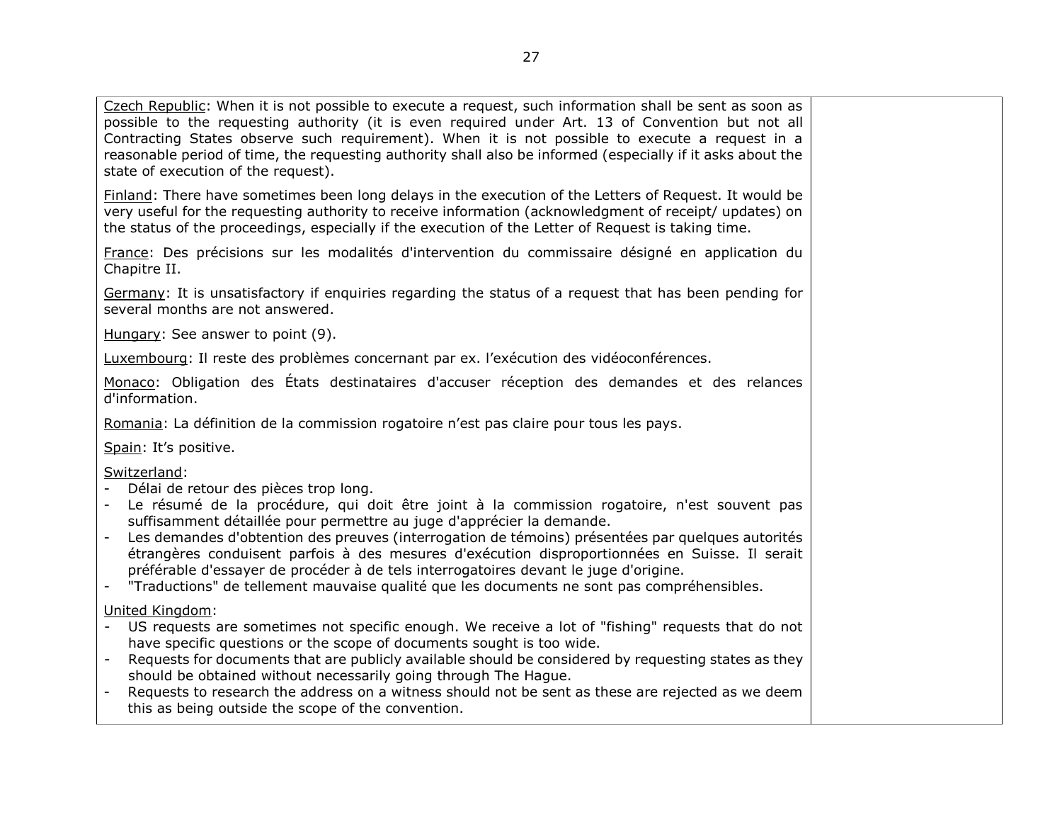Czech Republic: When it is not possible to execute a request, such information shall be sent as soon as possible to the requesting authority (it is even required under Art. 13 of Convention but not all Contracting States observe such requirement). When it is not possible to execute a request in a reasonable period of time, the requesting authority shall also be informed (especially if it asks about the state of execution of the request).

Finland: There have sometimes been long delays in the execution of the Letters of Request. It would be very useful for the requesting authority to receive information (acknowledgment of receipt/ updates) on the status of the proceedings, especially if the execution of the Letter of Request is taking time.

France: Des précisions sur les modalités d'intervention du commissaire désigné en application du Chapitre II.

Germany: It is unsatisfactory if enquiries regarding the status of a request that has been pending for several months are not answered.

Hungary: See answer to point (9).

Luxembourg: Il reste des problèmes concernant par ex. l'exécution des vidéoconférences.

Monaco: Obligation des États destinataires d'accuser réception des demandes et des relances d'information.

Romania: La définition de la commission rogatoire n'est pas claire pour tous les pays.

Spain: It's positive.

Switzerland:

- Délai de retour des pièces trop long.
- Le résumé de la procédure, qui doit être joint à la commission rogatoire, n'est souvent pas suffisamment détaillée pour permettre au juge d'apprécier la demande.
- Les demandes d'obtention des preuves (interrogation de témoins) présentées par quelques autorités étrangères conduisent parfois à des mesures d'exécution disproportionnées en Suisse. Il serait préférable d'essayer de procéder à de tels interrogatoires devant le juge d'origine.
- "Traductions" de tellement mauvaise qualité que les documents ne sont pas compréhensibles.

United Kingdom:

- US requests are sometimes not specific enough. We receive a lot of "fishing" requests that do not have specific questions or the scope of documents sought is too wide.
- Requests for documents that are publicly available should be considered by requesting states as they should be obtained without necessarily going through The Hague.
- Requests to research the address on a witness should not be sent as these are rejected as we deem this as being outside the scope of the convention.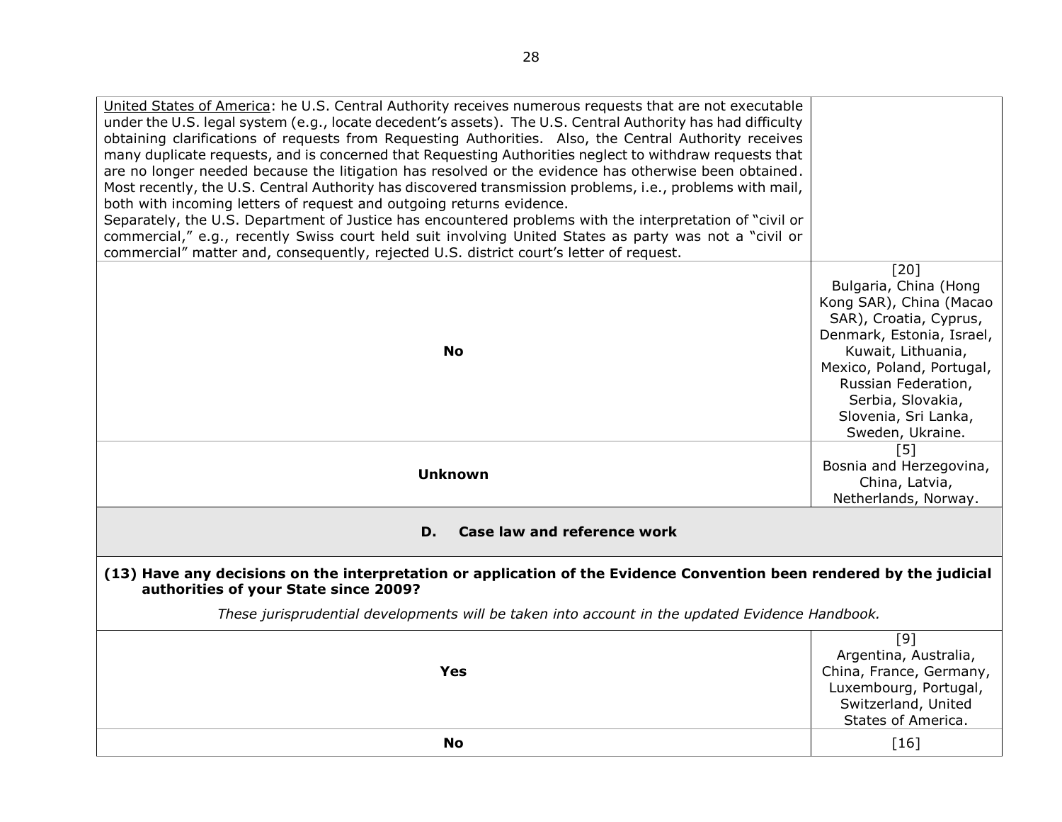<span id="page-27-1"></span><span id="page-27-0"></span>

| United States of America: he U.S. Central Authority receives numerous requests that are not executable<br>under the U.S. legal system (e.g., locate decedent's assets). The U.S. Central Authority has had difficulty<br>obtaining clarifications of requests from Requesting Authorities. Also, the Central Authority receives<br>many duplicate requests, and is concerned that Requesting Authorities neglect to withdraw requests that<br>are no longer needed because the litigation has resolved or the evidence has otherwise been obtained.<br>Most recently, the U.S. Central Authority has discovered transmission problems, i.e., problems with mail,<br>both with incoming letters of request and outgoing returns evidence.<br>Separately, the U.S. Department of Justice has encountered problems with the interpretation of "civil or |                                                                                                                                                                                                                                                              |
|------------------------------------------------------------------------------------------------------------------------------------------------------------------------------------------------------------------------------------------------------------------------------------------------------------------------------------------------------------------------------------------------------------------------------------------------------------------------------------------------------------------------------------------------------------------------------------------------------------------------------------------------------------------------------------------------------------------------------------------------------------------------------------------------------------------------------------------------------|--------------------------------------------------------------------------------------------------------------------------------------------------------------------------------------------------------------------------------------------------------------|
| commercial," e.g., recently Swiss court held suit involving United States as party was not a "civil or                                                                                                                                                                                                                                                                                                                                                                                                                                                                                                                                                                                                                                                                                                                                               |                                                                                                                                                                                                                                                              |
| commercial" matter and, consequently, rejected U.S. district court's letter of request.                                                                                                                                                                                                                                                                                                                                                                                                                                                                                                                                                                                                                                                                                                                                                              |                                                                                                                                                                                                                                                              |
| <b>No</b>                                                                                                                                                                                                                                                                                                                                                                                                                                                                                                                                                                                                                                                                                                                                                                                                                                            | $[20]$<br>Bulgaria, China (Hong<br>Kong SAR), China (Macao<br>SAR), Croatia, Cyprus,<br>Denmark, Estonia, Israel,<br>Kuwait, Lithuania,<br>Mexico, Poland, Portugal,<br>Russian Federation,<br>Serbia, Slovakia,<br>Slovenia, Sri Lanka,<br>Sweden, Ukraine. |
| <b>Unknown</b>                                                                                                                                                                                                                                                                                                                                                                                                                                                                                                                                                                                                                                                                                                                                                                                                                                       | [5]<br>Bosnia and Herzegovina,<br>China, Latvia,<br>Netherlands, Norway.                                                                                                                                                                                     |
| <b>Case law and reference work</b><br>D.                                                                                                                                                                                                                                                                                                                                                                                                                                                                                                                                                                                                                                                                                                                                                                                                             |                                                                                                                                                                                                                                                              |
| (13) Have any decisions on the interpretation or application of the Evidence Convention been rendered by the judicial<br>authorities of your State since 2009?                                                                                                                                                                                                                                                                                                                                                                                                                                                                                                                                                                                                                                                                                       |                                                                                                                                                                                                                                                              |
| These jurisprudential developments will be taken into account in the updated Evidence Handbook.                                                                                                                                                                                                                                                                                                                                                                                                                                                                                                                                                                                                                                                                                                                                                      |                                                                                                                                                                                                                                                              |
| <b>Yes</b>                                                                                                                                                                                                                                                                                                                                                                                                                                                                                                                                                                                                                                                                                                                                                                                                                                           | [9]<br>Argentina, Australia,<br>China, France, Germany,<br>Luxembourg, Portugal,<br>Switzerland, United<br>States of America.                                                                                                                                |
| <b>No</b>                                                                                                                                                                                                                                                                                                                                                                                                                                                                                                                                                                                                                                                                                                                                                                                                                                            |                                                                                                                                                                                                                                                              |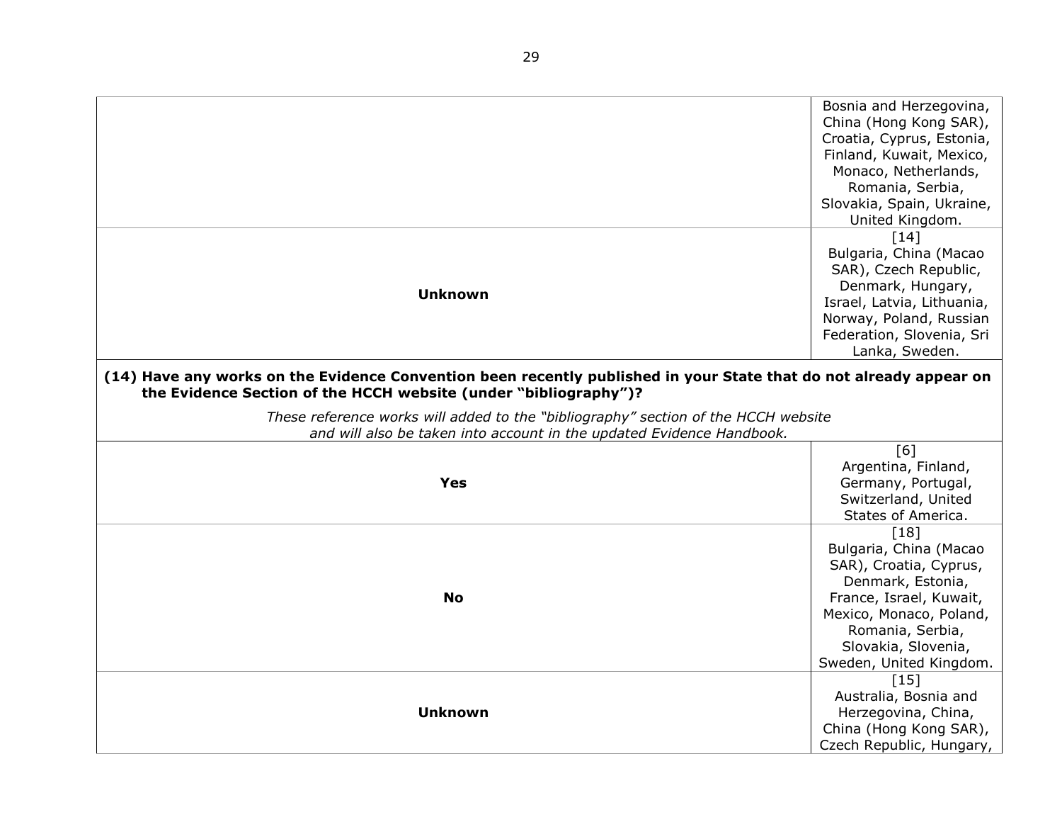<span id="page-28-0"></span>

|                                                                                                                                                                                        | Bosnia and Herzegovina,<br>China (Hong Kong SAR),<br>Croatia, Cyprus, Estonia,<br>Finland, Kuwait, Mexico,<br>Monaco, Netherlands,<br>Romania, Serbia,<br>Slovakia, Spain, Ukraine,<br>United Kingdom.    |
|----------------------------------------------------------------------------------------------------------------------------------------------------------------------------------------|-----------------------------------------------------------------------------------------------------------------------------------------------------------------------------------------------------------|
| <b>Unknown</b>                                                                                                                                                                         | $[14]$<br>Bulgaria, China (Macao<br>SAR), Czech Republic,<br>Denmark, Hungary,<br>Israel, Latvia, Lithuania,<br>Norway, Poland, Russian<br>Federation, Slovenia, Sri<br>Lanka, Sweden.                    |
| (14) Have any works on the Evidence Convention been recently published in your State that do not already appear on<br>the Evidence Section of the HCCH website (under "bibliography")? |                                                                                                                                                                                                           |
| These reference works will added to the "bibliography" section of the HCCH website                                                                                                     |                                                                                                                                                                                                           |
| and will also be taken into account in the updated Evidence Handbook.                                                                                                                  |                                                                                                                                                                                                           |
| <b>Yes</b>                                                                                                                                                                             | [6]<br>Argentina, Finland,<br>Germany, Portugal,<br>Switzerland, United<br>States of America.                                                                                                             |
| <b>No</b>                                                                                                                                                                              | [18]<br>Bulgaria, China (Macao<br>SAR), Croatia, Cyprus,<br>Denmark, Estonia,<br>France, Israel, Kuwait,<br>Mexico, Monaco, Poland,<br>Romania, Serbia,<br>Slovakia, Slovenia,<br>Sweden, United Kingdom. |
| <b>Unknown</b>                                                                                                                                                                         | [15]<br>Australia, Bosnia and<br>Herzegovina, China,<br>China (Hong Kong SAR),<br>Czech Republic, Hungary,                                                                                                |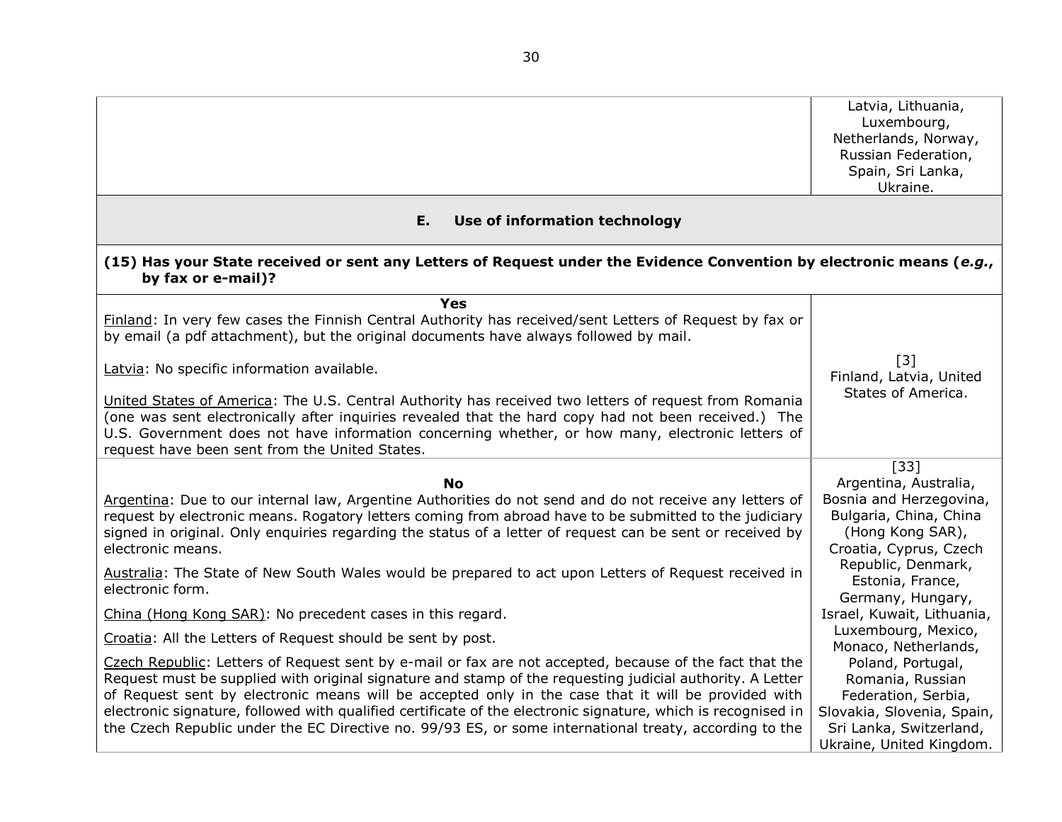<span id="page-29-0"></span>

|                                                                                                                                                                                                                                                                                                                                                                                                                                                                                                                                                        | Latvia, Lithuania,<br>Luxembourg,<br>Netherlands, Norway,<br>Russian Federation,<br>Spain, Sri Lanka,<br>Ukraine.                                 |
|--------------------------------------------------------------------------------------------------------------------------------------------------------------------------------------------------------------------------------------------------------------------------------------------------------------------------------------------------------------------------------------------------------------------------------------------------------------------------------------------------------------------------------------------------------|---------------------------------------------------------------------------------------------------------------------------------------------------|
| E.<br>Use of information technology                                                                                                                                                                                                                                                                                                                                                                                                                                                                                                                    |                                                                                                                                                   |
| (15) Has your State received or sent any Letters of Request under the Evidence Convention by electronic means (e.g.,<br>by fax or e-mail)?                                                                                                                                                                                                                                                                                                                                                                                                             |                                                                                                                                                   |
| <b>Yes</b><br>Finland: In very few cases the Finnish Central Authority has received/sent Letters of Request by fax or<br>by email (a pdf attachment), but the original documents have always followed by mail.                                                                                                                                                                                                                                                                                                                                         |                                                                                                                                                   |
| Latvia: No specific information available.<br>United States of America: The U.S. Central Authority has received two letters of request from Romania<br>(one was sent electronically after inquiries revealed that the hard copy had not been received.) The                                                                                                                                                                                                                                                                                            | $\lceil 3 \rceil$<br>Finland, Latvia, United<br>States of America.                                                                                |
| U.S. Government does not have information concerning whether, or how many, electronic letters of<br>request have been sent from the United States.                                                                                                                                                                                                                                                                                                                                                                                                     |                                                                                                                                                   |
| <b>No</b><br>Argentina: Due to our internal law, Argentine Authorities do not send and do not receive any letters of<br>request by electronic means. Rogatory letters coming from abroad have to be submitted to the judiciary<br>signed in original. Only enquiries regarding the status of a letter of request can be sent or received by<br>electronic means.                                                                                                                                                                                       | $[33]$<br>Argentina, Australia,<br>Bosnia and Herzegovina,<br>Bulgaria, China, China<br>(Hong Kong SAR),<br>Croatia, Cyprus, Czech                |
| Australia: The State of New South Wales would be prepared to act upon Letters of Request received in<br>electronic form.                                                                                                                                                                                                                                                                                                                                                                                                                               | Republic, Denmark,<br>Estonia, France,<br>Germany, Hungary,                                                                                       |
| China (Hong Kong SAR): No precedent cases in this regard.                                                                                                                                                                                                                                                                                                                                                                                                                                                                                              | Israel, Kuwait, Lithuania,                                                                                                                        |
| Croatia: All the Letters of Request should be sent by post.                                                                                                                                                                                                                                                                                                                                                                                                                                                                                            | Luxembourg, Mexico,<br>Monaco, Netherlands,                                                                                                       |
| Czech Republic: Letters of Request sent by e-mail or fax are not accepted, because of the fact that the<br>Request must be supplied with original signature and stamp of the requesting judicial authority. A Letter<br>of Request sent by electronic means will be accepted only in the case that it will be provided with<br>electronic signature, followed with qualified certificate of the electronic signature, which is recognised in<br>the Czech Republic under the EC Directive no. 99/93 ES, or some international treaty, according to the | Poland, Portugal,<br>Romania, Russian<br>Federation, Serbia,<br>Slovakia, Slovenia, Spain,<br>Sri Lanka, Switzerland,<br>Ukraine, United Kingdom. |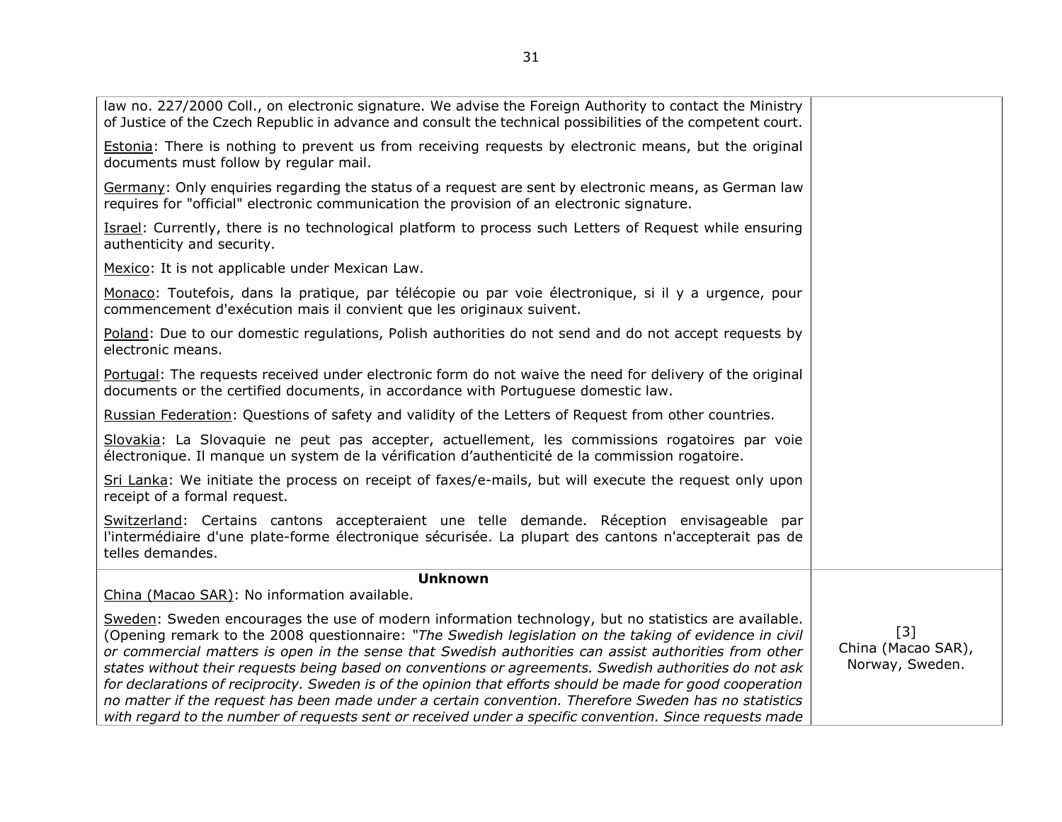| $[3]$<br>China (Macao SAR),<br>Norway, Sweden. |
|------------------------------------------------|
|                                                |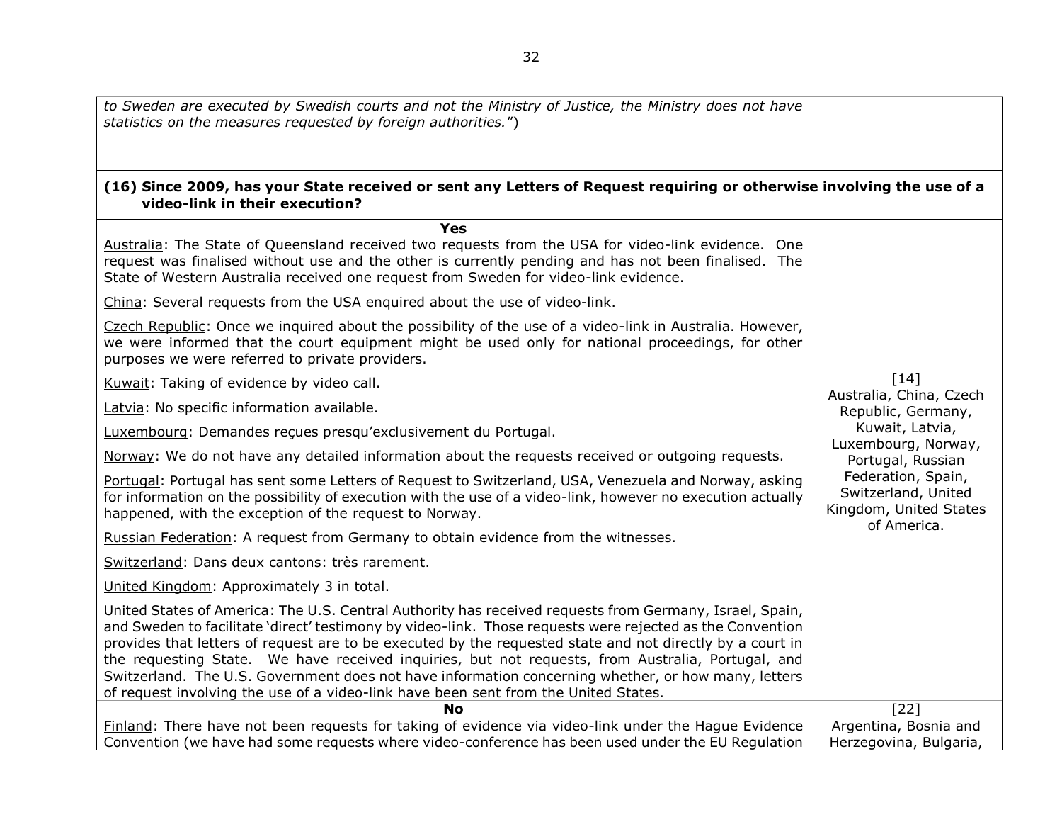<span id="page-31-0"></span>

| to Sweden are executed by Swedish courts and not the Ministry of Justice, the Ministry does not have<br>statistics on the measures requested by foreign authorities.")                                                                                                                                                                                                                                                                                                                                                                                                                                                               |                                                                                                                                                                                     |
|--------------------------------------------------------------------------------------------------------------------------------------------------------------------------------------------------------------------------------------------------------------------------------------------------------------------------------------------------------------------------------------------------------------------------------------------------------------------------------------------------------------------------------------------------------------------------------------------------------------------------------------|-------------------------------------------------------------------------------------------------------------------------------------------------------------------------------------|
| (16) Since 2009, has your State received or sent any Letters of Request requiring or otherwise involving the use of a<br>video-link in their execution?                                                                                                                                                                                                                                                                                                                                                                                                                                                                              |                                                                                                                                                                                     |
| <b>Yes</b>                                                                                                                                                                                                                                                                                                                                                                                                                                                                                                                                                                                                                           |                                                                                                                                                                                     |
| Australia: The State of Queensland received two requests from the USA for video-link evidence. One<br>request was finalised without use and the other is currently pending and has not been finalised. The<br>State of Western Australia received one request from Sweden for video-link evidence.                                                                                                                                                                                                                                                                                                                                   |                                                                                                                                                                                     |
| China: Several requests from the USA enquired about the use of video-link.                                                                                                                                                                                                                                                                                                                                                                                                                                                                                                                                                           |                                                                                                                                                                                     |
| Czech Republic: Once we inquired about the possibility of the use of a video-link in Australia. However,<br>we were informed that the court equipment might be used only for national proceedings, for other<br>purposes we were referred to private providers.                                                                                                                                                                                                                                                                                                                                                                      |                                                                                                                                                                                     |
| Kuwait: Taking of evidence by video call.                                                                                                                                                                                                                                                                                                                                                                                                                                                                                                                                                                                            | $\lceil 14 \rceil$                                                                                                                                                                  |
| Latvia: No specific information available.                                                                                                                                                                                                                                                                                                                                                                                                                                                                                                                                                                                           | Australia, China, Czech<br>Republic, Germany,<br>Kuwait, Latvia,<br>Luxembourg, Norway,<br>Portugal, Russian<br>Federation, Spain,<br>Switzerland, United<br>Kingdom, United States |
| Luxembourg: Demandes reçues presqu'exclusivement du Portugal.                                                                                                                                                                                                                                                                                                                                                                                                                                                                                                                                                                        |                                                                                                                                                                                     |
| Norway: We do not have any detailed information about the requests received or outgoing requests.                                                                                                                                                                                                                                                                                                                                                                                                                                                                                                                                    |                                                                                                                                                                                     |
| Portugal: Portugal has sent some Letters of Request to Switzerland, USA, Venezuela and Norway, asking<br>for information on the possibility of execution with the use of a video-link, however no execution actually<br>happened, with the exception of the request to Norway.                                                                                                                                                                                                                                                                                                                                                       |                                                                                                                                                                                     |
| Russian Federation: A request from Germany to obtain evidence from the witnesses.                                                                                                                                                                                                                                                                                                                                                                                                                                                                                                                                                    | of America.                                                                                                                                                                         |
| Switzerland: Dans deux cantons: très rarement.                                                                                                                                                                                                                                                                                                                                                                                                                                                                                                                                                                                       |                                                                                                                                                                                     |
| United Kingdom: Approximately 3 in total.                                                                                                                                                                                                                                                                                                                                                                                                                                                                                                                                                                                            |                                                                                                                                                                                     |
| United States of America: The U.S. Central Authority has received requests from Germany, Israel, Spain,<br>and Sweden to facilitate 'direct' testimony by video-link. Those requests were rejected as the Convention<br>provides that letters of request are to be executed by the requested state and not directly by a court in<br>the requesting State. We have received inquiries, but not requests, from Australia, Portugal, and<br>Switzerland. The U.S. Government does not have information concerning whether, or how many, letters<br>of request involving the use of a video-link have been sent from the United States. |                                                                                                                                                                                     |
| <b>No</b>                                                                                                                                                                                                                                                                                                                                                                                                                                                                                                                                                                                                                            | $[22]$                                                                                                                                                                              |
| Finland: There have not been requests for taking of evidence via video-link under the Hague Evidence                                                                                                                                                                                                                                                                                                                                                                                                                                                                                                                                 | Argentina, Bosnia and                                                                                                                                                               |
| Convention (we have had some requests where video-conference has been used under the EU Regulation                                                                                                                                                                                                                                                                                                                                                                                                                                                                                                                                   | Herzegovina, Bulgaria,                                                                                                                                                              |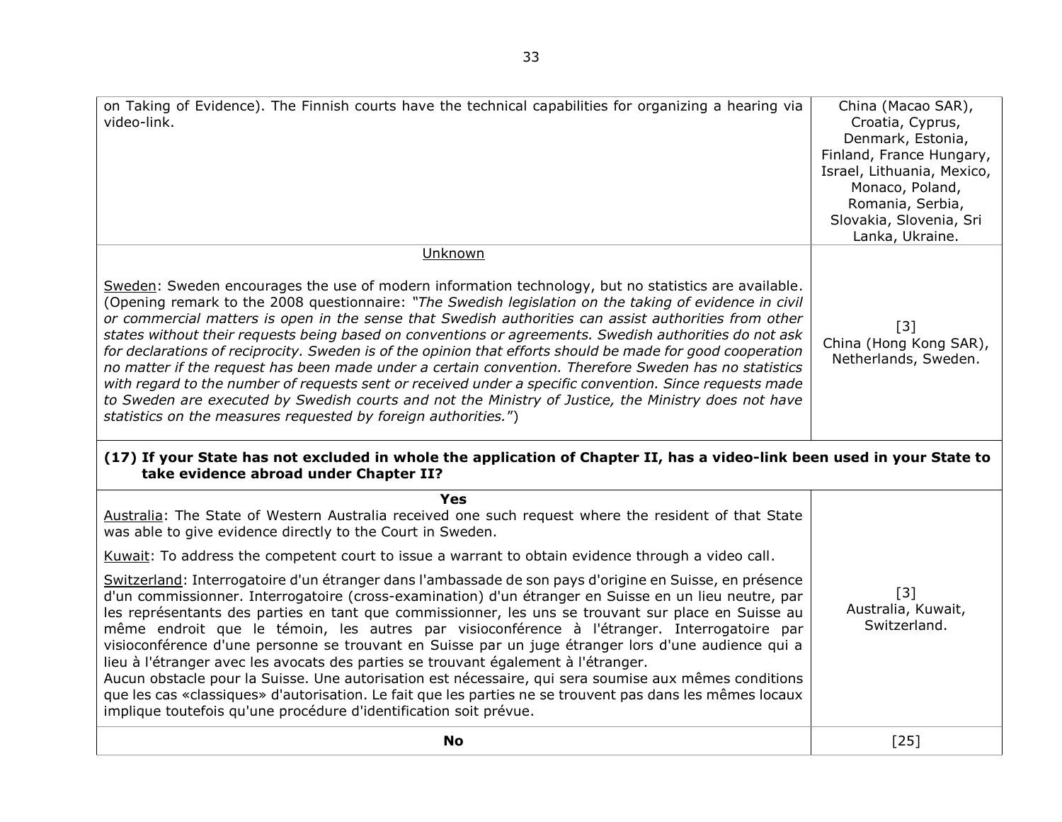<span id="page-32-0"></span>

| on Taking of Evidence). The Finnish courts have the technical capabilities for organizing a hearing via<br>video-link.                                                                                                                                                                                                                                                                                                                                                                                                                                                                                                                                                                                                                                                                                                                                                                                         | China (Macao SAR),<br>Croatia, Cyprus,<br>Denmark, Estonia,<br>Finland, France Hungary,<br>Israel, Lithuania, Mexico,<br>Monaco, Poland,<br>Romania, Serbia,<br>Slovakia, Slovenia, Sri<br>Lanka, Ukraine. |
|----------------------------------------------------------------------------------------------------------------------------------------------------------------------------------------------------------------------------------------------------------------------------------------------------------------------------------------------------------------------------------------------------------------------------------------------------------------------------------------------------------------------------------------------------------------------------------------------------------------------------------------------------------------------------------------------------------------------------------------------------------------------------------------------------------------------------------------------------------------------------------------------------------------|------------------------------------------------------------------------------------------------------------------------------------------------------------------------------------------------------------|
| Unknown<br>Sweden: Sweden encourages the use of modern information technology, but no statistics are available.                                                                                                                                                                                                                                                                                                                                                                                                                                                                                                                                                                                                                                                                                                                                                                                                |                                                                                                                                                                                                            |
| (Opening remark to the 2008 questionnaire: "The Swedish legislation on the taking of evidence in civil<br>or commercial matters is open in the sense that Swedish authorities can assist authorities from other<br>states without their requests being based on conventions or agreements. Swedish authorities do not ask<br>for declarations of reciprocity. Sweden is of the opinion that efforts should be made for good cooperation<br>no matter if the request has been made under a certain convention. Therefore Sweden has no statistics<br>with regard to the number of requests sent or received under a specific convention. Since requests made<br>to Sweden are executed by Swedish courts and not the Ministry of Justice, the Ministry does not have<br>statistics on the measures requested by foreign authorities.")                                                                          | $\lceil 3 \rceil$<br>China (Hong Kong SAR),<br>Netherlands, Sweden.                                                                                                                                        |
| (17) If your State has not excluded in whole the application of Chapter II, has a video-link been used in your State to<br>take evidence abroad under Chapter II?                                                                                                                                                                                                                                                                                                                                                                                                                                                                                                                                                                                                                                                                                                                                              |                                                                                                                                                                                                            |
| <b>Yes</b><br>Australia: The State of Western Australia received one such request where the resident of that State<br>was able to give evidence directly to the Court in Sweden.                                                                                                                                                                                                                                                                                                                                                                                                                                                                                                                                                                                                                                                                                                                               |                                                                                                                                                                                                            |
| Kuwait: To address the competent court to issue a warrant to obtain evidence through a video call.                                                                                                                                                                                                                                                                                                                                                                                                                                                                                                                                                                                                                                                                                                                                                                                                             |                                                                                                                                                                                                            |
| Switzerland: Interrogatoire d'un étranger dans l'ambassade de son pays d'origine en Suisse, en présence<br>d'un commissionner. Interrogatoire (cross-examination) d'un étranger en Suisse en un lieu neutre, par<br>les représentants des parties en tant que commissionner, les uns se trouvant sur place en Suisse au<br>même endroit que le témoin, les autres par visioconférence à l'étranger. Interrogatoire par<br>visioconférence d'une personne se trouvant en Suisse par un juge étranger lors d'une audience qui a<br>lieu à l'étranger avec les avocats des parties se trouvant également à l'étranger.<br>Aucun obstacle pour la Suisse. Une autorisation est nécessaire, qui sera soumise aux mêmes conditions<br>que les cas «classiques» d'autorisation. Le fait que les parties ne se trouvent pas dans les mêmes locaux<br>implique toutefois qu'une procédure d'identification soit prévue. | $[3]$<br>Australia, Kuwait,<br>Switzerland.                                                                                                                                                                |
| <b>No</b>                                                                                                                                                                                                                                                                                                                                                                                                                                                                                                                                                                                                                                                                                                                                                                                                                                                                                                      | $[25]$                                                                                                                                                                                                     |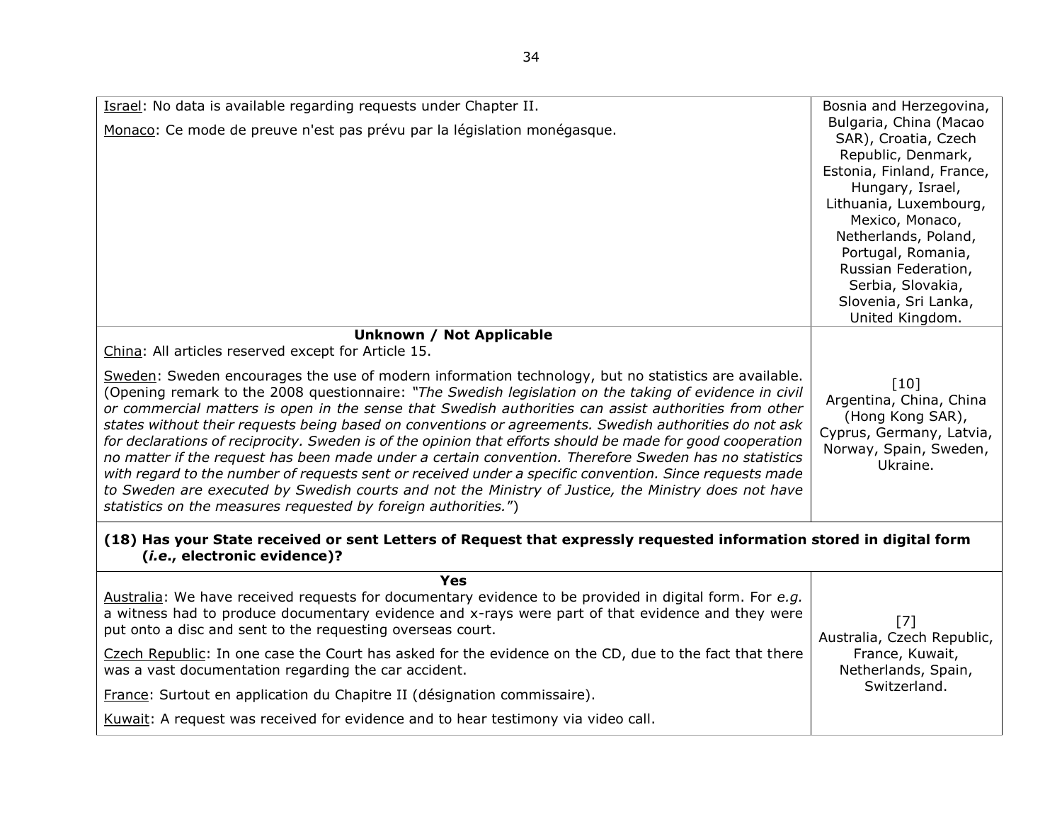<span id="page-33-0"></span>

| Israel: No data is available regarding requests under Chapter II.<br>Monaco: Ce mode de preuve n'est pas prévu par la législation monégasque.                                                                                                                                                                                                                                                                                                                                                                                                                                                                                                                                                                                                                                                                                                                                                                                                                                                                                           | Bosnia and Herzegovina,<br>Bulgaria, China (Macao<br>SAR), Croatia, Czech<br>Republic, Denmark,<br>Estonia, Finland, France,<br>Hungary, Israel,<br>Lithuania, Luxembourg,<br>Mexico, Monaco,<br>Netherlands, Poland,<br>Portugal, Romania,<br>Russian Federation,<br>Serbia, Slovakia,<br>Slovenia, Sri Lanka,<br>United Kingdom. |
|-----------------------------------------------------------------------------------------------------------------------------------------------------------------------------------------------------------------------------------------------------------------------------------------------------------------------------------------------------------------------------------------------------------------------------------------------------------------------------------------------------------------------------------------------------------------------------------------------------------------------------------------------------------------------------------------------------------------------------------------------------------------------------------------------------------------------------------------------------------------------------------------------------------------------------------------------------------------------------------------------------------------------------------------|------------------------------------------------------------------------------------------------------------------------------------------------------------------------------------------------------------------------------------------------------------------------------------------------------------------------------------|
| <b>Unknown / Not Applicable</b><br>China: All articles reserved except for Article 15.<br>Sweden: Sweden encourages the use of modern information technology, but no statistics are available.<br>(Opening remark to the 2008 questionnaire: "The Swedish legislation on the taking of evidence in civil<br>or commercial matters is open in the sense that Swedish authorities can assist authorities from other<br>states without their requests being based on conventions or agreements. Swedish authorities do not ask<br>for declarations of reciprocity. Sweden is of the opinion that efforts should be made for good cooperation<br>no matter if the request has been made under a certain convention. Therefore Sweden has no statistics<br>with regard to the number of requests sent or received under a specific convention. Since requests made<br>to Sweden are executed by Swedish courts and not the Ministry of Justice, the Ministry does not have<br>statistics on the measures requested by foreign authorities.") | $\lceil 10 \rceil$<br>Argentina, China, China<br>(Hong Kong SAR),<br>Cyprus, Germany, Latvia,<br>Norway, Spain, Sweden,<br>Ukraine.                                                                                                                                                                                                |
| (18) Has your State received or sent Letters of Request that expressly requested information stored in digital form<br>(i.e., electronic evidence)?                                                                                                                                                                                                                                                                                                                                                                                                                                                                                                                                                                                                                                                                                                                                                                                                                                                                                     |                                                                                                                                                                                                                                                                                                                                    |
| <b>Yes</b><br>Australia: We have received requests for documentary evidence to be provided in digital form. For e.g.<br>a witness had to produce documentary evidence and x-rays were part of that evidence and they were<br>put onto a disc and sent to the requesting overseas court.<br>Czech Republic: In one case the Court has asked for the evidence on the CD, due to the fact that there<br>was a vast documentation regarding the car accident.<br>France: Surtout en application du Chapitre II (désignation commissaire).<br>Kuwait: A request was received for evidence and to hear testimony via video call.                                                                                                                                                                                                                                                                                                                                                                                                              | [7]<br>Australia, Czech Republic,<br>France, Kuwait,<br>Netherlands, Spain,<br>Switzerland.                                                                                                                                                                                                                                        |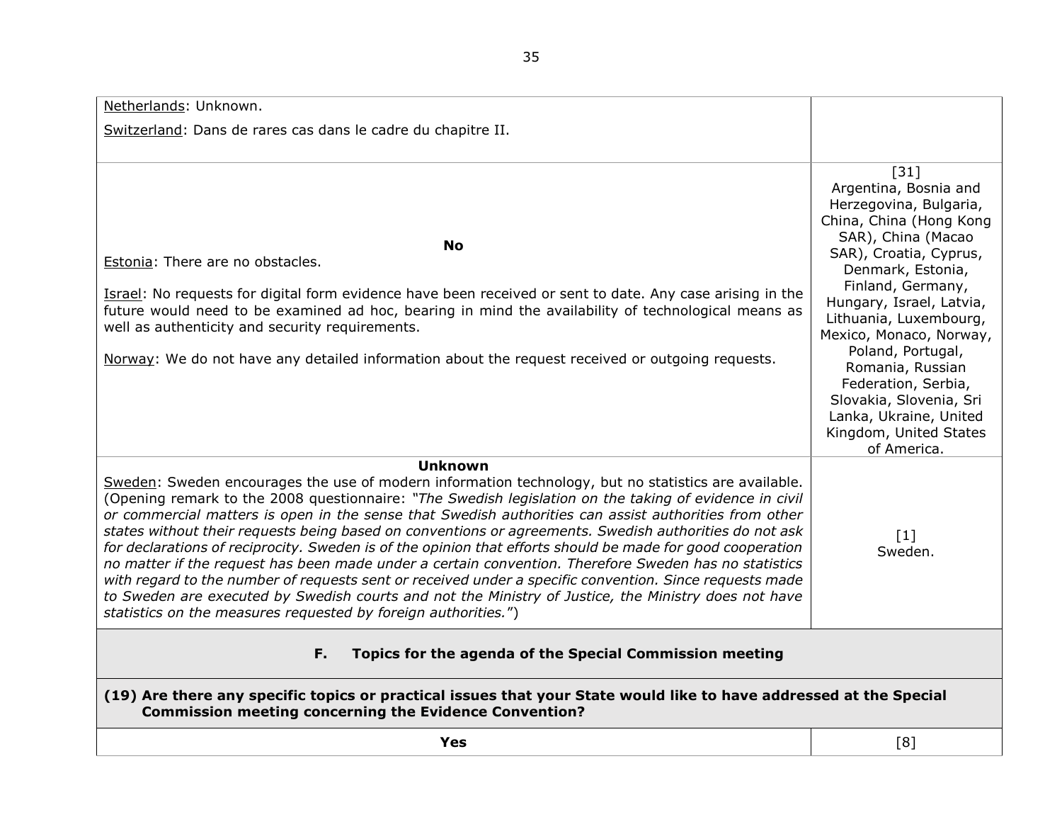<span id="page-34-1"></span><span id="page-34-0"></span>Netherlands: Unknown. Switzerland: Dans de rares cas dans le cadre du chapitre II. **No** Estonia: There are no obstacles. Israel: No requests for digital form evidence have been received or sent to date. Any case arising in the future would need to be examined ad hoc, bearing in mind the availability of technological means as well as authenticity and security requirements. Norway: We do not have any detailed information about the request received or outgoing requests. [31] Argentina, Bosnia and Herzegovina, Bulgaria, China, China (Hong Kong SAR), China (Macao SAR), Croatia, Cyprus, Denmark, Estonia, Finland, Germany, Hungary, Israel, Latvia, Lithuania, Luxembourg, Mexico, Monaco, Norway, Poland, Portugal, Romania, Russian Federation, Serbia, Slovakia, Slovenia, Sri Lanka, Ukraine, United Kingdom, United States of America. **Unknown** Sweden: Sweden encourages the use of modern information technology, but no statistics are available. (Opening remark to the 2008 questionnaire: *"The Swedish legislation on the taking of evidence in civil or commercial matters is open in the sense that Swedish authorities can assist authorities from other states without their requests being based on conventions or agreements. Swedish authorities do not ask for declarations of reciprocity. Sweden is of the opinion that efforts should be made for good cooperation no matter if the request has been made under a certain convention. Therefore Sweden has no statistics with regard to the number of requests sent or received under a specific convention. Since requests made to Sweden are executed by Swedish courts and not the Ministry of Justice, the Ministry does not have statistics on the measures requested by foreign authorities.*")  $\lceil 1 \rceil$ Sweden. **F. Topics for the agenda of the Special Commission meeting (19) Are there any specific topics or practical issues that your State would like to have addressed at the Special Commission meeting concerning the Evidence Convention? Yes** [8]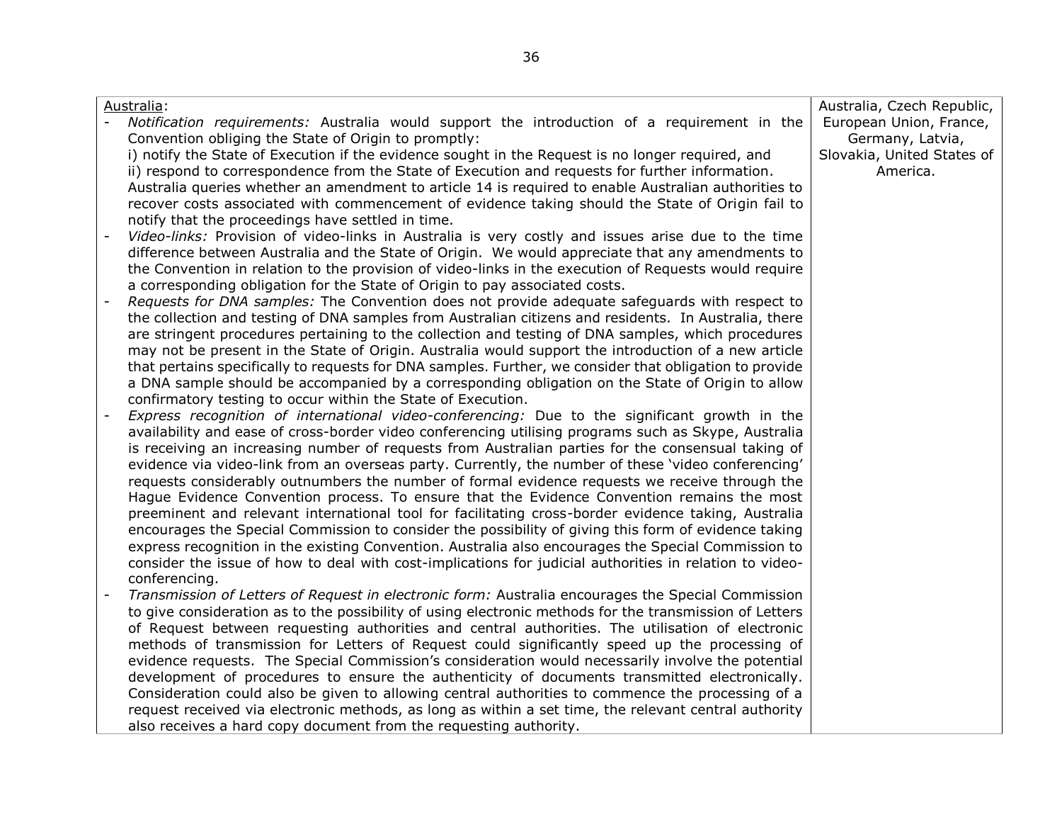| Australia:                                                                                                    | Australia, Czech Republic, |
|---------------------------------------------------------------------------------------------------------------|----------------------------|
| $\blacksquare$<br>Notification requirements: Australia would support the introduction of a requirement in the | European Union, France,    |
| Convention obliging the State of Origin to promptly:                                                          | Germany, Latvia,           |
| i) notify the State of Execution if the evidence sought in the Request is no longer required, and             | Slovakia, United States of |
| ii) respond to correspondence from the State of Execution and requests for further information.               | America.                   |
| Australia queries whether an amendment to article 14 is required to enable Australian authorities to          |                            |
| recover costs associated with commencement of evidence taking should the State of Origin fail to              |                            |
| notify that the proceedings have settled in time.                                                             |                            |
| Video-links: Provision of video-links in Australia is very costly and issues arise due to the time            |                            |
| difference between Australia and the State of Origin. We would appreciate that any amendments to              |                            |
| the Convention in relation to the provision of video-links in the execution of Requests would require         |                            |
| a corresponding obligation for the State of Origin to pay associated costs.                                   |                            |
| Requests for DNA samples: The Convention does not provide adequate safeguards with respect to                 |                            |
| the collection and testing of DNA samples from Australian citizens and residents. In Australia, there         |                            |
| are stringent procedures pertaining to the collection and testing of DNA samples, which procedures            |                            |
| may not be present in the State of Origin. Australia would support the introduction of a new article          |                            |
| that pertains specifically to requests for DNA samples. Further, we consider that obligation to provide       |                            |
| a DNA sample should be accompanied by a corresponding obligation on the State of Origin to allow              |                            |
| confirmatory testing to occur within the State of Execution.                                                  |                            |
| Express recognition of international video-conferencing: Due to the significant growth in the                 |                            |
| availability and ease of cross-border video conferencing utilising programs such as Skype, Australia          |                            |
| is receiving an increasing number of requests from Australian parties for the consensual taking of            |                            |
| evidence via video-link from an overseas party. Currently, the number of these 'video conferencing'           |                            |
| requests considerably outnumbers the number of formal evidence requests we receive through the                |                            |
| Hague Evidence Convention process. To ensure that the Evidence Convention remains the most                    |                            |
| preeminent and relevant international tool for facilitating cross-border evidence taking, Australia           |                            |
| encourages the Special Commission to consider the possibility of giving this form of evidence taking          |                            |
| express recognition in the existing Convention. Australia also encourages the Special Commission to           |                            |
| consider the issue of how to deal with cost-implications for judicial authorities in relation to video-       |                            |
| conferencing.                                                                                                 |                            |
| Transmission of Letters of Request in electronic form: Australia encourages the Special Commission            |                            |
|                                                                                                               |                            |
| to give consideration as to the possibility of using electronic methods for the transmission of Letters       |                            |
| of Request between requesting authorities and central authorities. The utilisation of electronic              |                            |
| methods of transmission for Letters of Request could significantly speed up the processing of                 |                            |
| evidence requests. The Special Commission's consideration would necessarily involve the potential             |                            |
| development of procedures to ensure the authenticity of documents transmitted electronically.                 |                            |
| Consideration could also be given to allowing central authorities to commence the processing of a             |                            |
| request received via electronic methods, as long as within a set time, the relevant central authority         |                            |
| also receives a hard copy document from the requesting authority.                                             |                            |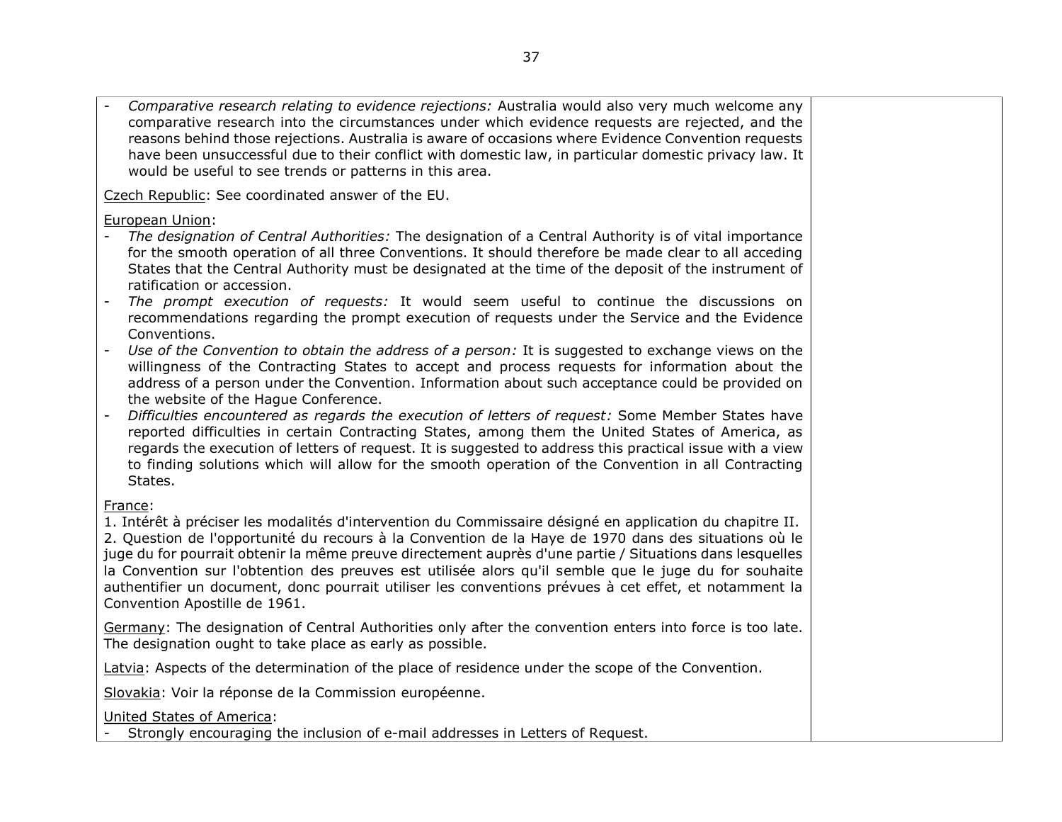- *Comparative research relating to evidence rejections:* Australia would also very much welcome any comparative research into the circumstances under which evidence requests are rejected, and the reasons behind those rejections. Australia is aware of occasions where Evidence Convention requests have been unsuccessful due to their conflict with domestic law, in particular domestic privacy law. It would be useful to see trends or patterns in this area.

Czech Republic: See coordinated answer of the EU.

European Union:

- *The designation of Central Authorities:* The designation of a Central Authority is of vital importance for the smooth operation of all three Conventions. It should therefore be made clear to all acceding States that the Central Authority must be designated at the time of the deposit of the instrument of ratification or accession.
- *The prompt execution of requests:* It would seem useful to continue the discussions on recommendations regarding the prompt execution of requests under the Service and the Evidence Conventions.
- Use of the Convention to obtain the address of a person: It is suggested to exchange views on the willingness of the Contracting States to accept and process requests for information about the address of a person under the Convention. Information about such acceptance could be provided on the website of the Hague Conference.
- *Difficulties encountered as regards the execution of letters of request:* Some Member States have reported difficulties in certain Contracting States, among them the United States of America, as regards the execution of letters of request. It is suggested to address this practical issue with a view to finding solutions which will allow for the smooth operation of the Convention in all Contracting States.

# France:

1. Intérêt à préciser les modalités d'intervention du Commissaire désigné en application du chapitre II. 2. Question de l'opportunité du recours à la Convention de la Haye de 1970 dans des situations où le juge du for pourrait obtenir la même preuve directement auprès d'une partie / Situations dans lesquelles la Convention sur l'obtention des preuves est utilisée alors qu'il semble que le juge du for souhaite authentifier un document, donc pourrait utiliser les conventions prévues à cet effet, et notamment la Convention Apostille de 1961.

Germany: The designation of Central Authorities only after the convention enters into force is too late. The designation ought to take place as early as possible.

Latvia: Aspects of the determination of the place of residence under the scope of the Convention.

Slovakia: Voir la réponse de la Commission européenne.

United States of America:

- Strongly encouraging the inclusion of e-mail addresses in Letters of Request.